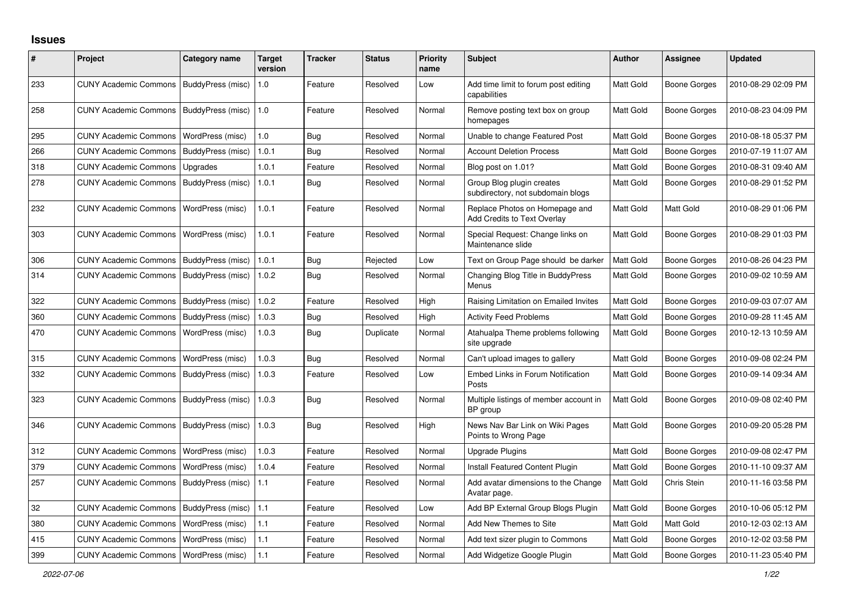## **Issues**

| #   | Project                                   | Category name     | <b>Target</b><br>version | <b>Tracker</b> | <b>Status</b> | <b>Priority</b><br>name | <b>Subject</b>                                                 | <b>Author</b>    | Assignee            | <b>Updated</b>      |
|-----|-------------------------------------------|-------------------|--------------------------|----------------|---------------|-------------------------|----------------------------------------------------------------|------------------|---------------------|---------------------|
| 233 | <b>CUNY Academic Commons</b>              | BuddyPress (misc) | 1.0                      | Feature        | Resolved      | Low                     | Add time limit to forum post editing<br>capabilities           | Matt Gold        | Boone Gorges        | 2010-08-29 02:09 PM |
| 258 | <b>CUNY Academic Commons</b>              | BuddyPress (misc) | 1.0                      | Feature        | Resolved      | Normal                  | Remove posting text box on group<br>homepages                  | <b>Matt Gold</b> | Boone Gorges        | 2010-08-23 04:09 PM |
| 295 | <b>CUNY Academic Commons</b>              | WordPress (misc)  | 1.0                      | Bug            | Resolved      | Normal                  | Unable to change Featured Post                                 | Matt Gold        | <b>Boone Gorges</b> | 2010-08-18 05:37 PM |
| 266 | <b>CUNY Academic Commons</b>              | BuddyPress (misc) | 1.0.1                    | Bug            | Resolved      | Normal                  | <b>Account Deletion Process</b>                                | Matt Gold        | Boone Gorges        | 2010-07-19 11:07 AM |
| 318 | <b>CUNY Academic Commons</b>              | Upgrades          | 1.0.1                    | Feature        | Resolved      | Normal                  | Blog post on 1.01?                                             | Matt Gold        | Boone Gorges        | 2010-08-31 09:40 AM |
| 278 | <b>CUNY Academic Commons</b>              | BuddyPress (misc) | 1.0.1                    | Bug            | Resolved      | Normal                  | Group Blog plugin creates<br>subdirectory, not subdomain blogs | Matt Gold        | Boone Gorges        | 2010-08-29 01:52 PM |
| 232 | <b>CUNY Academic Commons</b>              | WordPress (misc)  | 1.0.1                    | Feature        | Resolved      | Normal                  | Replace Photos on Homepage and<br>Add Credits to Text Overlay  | Matt Gold        | Matt Gold           | 2010-08-29 01:06 PM |
| 303 | <b>CUNY Academic Commons</b>              | WordPress (misc)  | 1.0.1                    | Feature        | Resolved      | Normal                  | Special Request: Change links on<br>Maintenance slide          | Matt Gold        | Boone Gorges        | 2010-08-29 01:03 PM |
| 306 | <b>CUNY Academic Commons</b>              | BuddyPress (misc) | 1.0.1                    | Bug            | Rejected      | Low                     | Text on Group Page should be darker                            | Matt Gold        | Boone Gorges        | 2010-08-26 04:23 PM |
| 314 | <b>CUNY Academic Commons</b>              | BuddyPress (misc) | 1.0.2                    | Bug            | Resolved      | Normal                  | Changing Blog Title in BuddyPress<br>Menus                     | Matt Gold        | Boone Gorges        | 2010-09-02 10:59 AM |
| 322 | <b>CUNY Academic Commons</b>              | BuddyPress (misc) | 1.0.2                    | Feature        | Resolved      | High                    | Raising Limitation on Emailed Invites                          | <b>Matt Gold</b> | <b>Boone Gorges</b> | 2010-09-03 07:07 AM |
| 360 | <b>CUNY Academic Commons</b>              | BuddyPress (misc) | 1.0.3                    | Bug            | Resolved      | High                    | <b>Activity Feed Problems</b>                                  | Matt Gold        | Boone Gorges        | 2010-09-28 11:45 AM |
| 470 | <b>CUNY Academic Commons</b>              | WordPress (misc)  | 1.0.3                    | Bug            | Duplicate     | Normal                  | Atahualpa Theme problems following<br>site upgrade             | Matt Gold        | <b>Boone Gorges</b> | 2010-12-13 10:59 AM |
| 315 | <b>CUNY Academic Commons</b>              | WordPress (misc)  | 1.0.3                    | Bug            | Resolved      | Normal                  | Can't upload images to gallery                                 | Matt Gold        | Boone Gorges        | 2010-09-08 02:24 PM |
| 332 | <b>CUNY Academic Commons</b>              | BuddyPress (misc) | 1.0.3                    | Feature        | Resolved      | Low                     | Embed Links in Forum Notification<br>Posts                     | Matt Gold        | Boone Gorges        | 2010-09-14 09:34 AM |
| 323 | <b>CUNY Academic Commons</b>              | BuddyPress (misc) | 1.0.3                    | Bug            | Resolved      | Normal                  | Multiple listings of member account in<br>BP group             | Matt Gold        | Boone Gorges        | 2010-09-08 02:40 PM |
| 346 | CUNY Academic Commons   BuddyPress (misc) |                   | 1.0.3                    | Bug            | Resolved      | High                    | News Nav Bar Link on Wiki Pages<br>Points to Wrong Page        | Matt Gold        | Boone Gorges        | 2010-09-20 05:28 PM |
| 312 | <b>CUNY Academic Commons</b>              | WordPress (misc)  | 1.0.3                    | Feature        | Resolved      | Normal                  | <b>Upgrade Plugins</b>                                         | Matt Gold        | Boone Gorges        | 2010-09-08 02:47 PM |
| 379 | <b>CUNY Academic Commons</b>              | WordPress (misc)  | 1.0.4                    | Feature        | Resolved      | Normal                  | Install Featured Content Plugin                                | Matt Gold        | Boone Gorges        | 2010-11-10 09:37 AM |
| 257 | <b>CUNY Academic Commons</b>              | BuddyPress (misc) | 1.1                      | Feature        | Resolved      | Normal                  | Add avatar dimensions to the Change<br>Avatar page.            | Matt Gold        | Chris Stein         | 2010-11-16 03:58 PM |
| 32  | <b>CUNY Academic Commons</b>              | BuddyPress (misc) | 1.1                      | Feature        | Resolved      | Low                     | Add BP External Group Blogs Plugin                             | Matt Gold        | Boone Gorges        | 2010-10-06 05:12 PM |
| 380 | <b>CUNY Academic Commons</b>              | WordPress (misc)  | 1.1                      | Feature        | Resolved      | Normal                  | Add New Themes to Site                                         | Matt Gold        | Matt Gold           | 2010-12-03 02:13 AM |
| 415 | <b>CUNY Academic Commons</b>              | WordPress (misc)  | 1.1                      | Feature        | Resolved      | Normal                  | Add text sizer plugin to Commons                               | Matt Gold        | Boone Gorges        | 2010-12-02 03:58 PM |
| 399 | <b>CUNY Academic Commons</b>              | WordPress (misc)  | 1.1                      | Feature        | Resolved      | Normal                  | Add Widgetize Google Plugin                                    | Matt Gold        | Boone Gorges        | 2010-11-23 05:40 PM |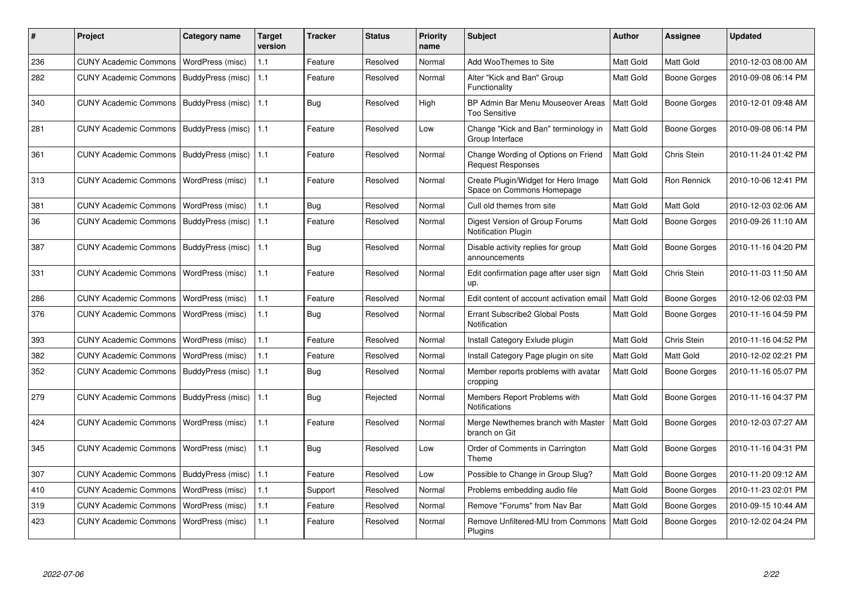| #   | Project                      | Category name           | <b>Target</b><br>version | <b>Tracker</b> | <b>Status</b> | <b>Priority</b><br>name | <b>Subject</b>                                                   | <b>Author</b>    | Assignee            | <b>Updated</b>      |
|-----|------------------------------|-------------------------|--------------------------|----------------|---------------|-------------------------|------------------------------------------------------------------|------------------|---------------------|---------------------|
| 236 | <b>CUNY Academic Commons</b> | WordPress (misc)        | 1.1                      | Feature        | Resolved      | Normal                  | Add WooThemes to Site                                            | <b>Matt Gold</b> | Matt Gold           | 2010-12-03 08:00 AM |
| 282 | <b>CUNY Academic Commons</b> | BuddyPress (misc)       | 1.1                      | Feature        | Resolved      | Normal                  | Alter "Kick and Ban" Group<br>Functionality                      | Matt Gold        | Boone Gorges        | 2010-09-08 06:14 PM |
| 340 | <b>CUNY Academic Commons</b> | BuddyPress (misc)       | 1.1                      | <b>Bug</b>     | Resolved      | High                    | BP Admin Bar Menu Mouseover Areas<br><b>Too Sensitive</b>        | <b>Matt Gold</b> | Boone Gorges        | 2010-12-01 09:48 AM |
| 281 | <b>CUNY Academic Commons</b> | BuddyPress (misc)       | 1.1                      | Feature        | Resolved      | Low                     | Change "Kick and Ban" terminology in<br>Group Interface          | Matt Gold        | <b>Boone Gorges</b> | 2010-09-08 06:14 PM |
| 361 | <b>CUNY Academic Commons</b> | BuddyPress (misc)       | 1.1                      | Feature        | Resolved      | Normal                  | Change Wording of Options on Friend<br><b>Request Responses</b>  | Matt Gold        | Chris Stein         | 2010-11-24 01:42 PM |
| 313 | <b>CUNY Academic Commons</b> | WordPress (misc)        | 1.1                      | Feature        | Resolved      | Normal                  | Create Plugin/Widget for Hero Image<br>Space on Commons Homepage | Matt Gold        | <b>Ron Rennick</b>  | 2010-10-06 12:41 PM |
| 381 | <b>CUNY Academic Commons</b> | WordPress (misc)        | 1.1                      | Bug            | Resolved      | Normal                  | Cull old themes from site                                        | Matt Gold        | Matt Gold           | 2010-12-03 02:06 AM |
| 36  | <b>CUNY Academic Commons</b> | BuddyPress (misc)       | 1.1                      | Feature        | Resolved      | Normal                  | Digest Version of Group Forums<br><b>Notification Plugin</b>     | Matt Gold        | <b>Boone Gorges</b> | 2010-09-26 11:10 AM |
| 387 | <b>CUNY Academic Commons</b> | BuddyPress (misc)       | 1.1                      | Bug            | Resolved      | Normal                  | Disable activity replies for group<br>announcements              | Matt Gold        | Boone Gorges        | 2010-11-16 04:20 PM |
| 331 | <b>CUNY Academic Commons</b> | <b>WordPress (misc)</b> | 1.1                      | Feature        | Resolved      | Normal                  | Edit confirmation page after user sign<br>up.                    | <b>Matt Gold</b> | Chris Stein         | 2010-11-03 11:50 AM |
| 286 | <b>CUNY Academic Commons</b> | WordPress (misc)        | 1.1                      | Feature        | Resolved      | Normal                  | Edit content of account activation email                         | Matt Gold        | Boone Gorges        | 2010-12-06 02:03 PM |
| 376 | <b>CUNY Academic Commons</b> | WordPress (misc)        | 1.1                      | Bug            | Resolved      | Normal                  | Errant Subscribe2 Global Posts<br>Notification                   | <b>Matt Gold</b> | Boone Gorges        | 2010-11-16 04:59 PM |
| 393 | <b>CUNY Academic Commons</b> | WordPress (misc)        | 1.1                      | Feature        | Resolved      | Normal                  | Install Category Exlude plugin                                   | Matt Gold        | Chris Stein         | 2010-11-16 04:52 PM |
| 382 | <b>CUNY Academic Commons</b> | WordPress (misc)        | 1.1                      | Feature        | Resolved      | Normal                  | Install Category Page plugin on site                             | Matt Gold        | Matt Gold           | 2010-12-02 02:21 PM |
| 352 | <b>CUNY Academic Commons</b> | BuddyPress (misc)       | 1.1                      | Bug            | Resolved      | Normal                  | Member reports problems with avatar<br>cropping                  | Matt Gold        | Boone Gorges        | 2010-11-16 05:07 PM |
| 279 | <b>CUNY Academic Commons</b> | BuddyPress (misc)       | 1.1                      | Bug            | Rejected      | Normal                  | Members Report Problems with<br>Notifications                    | <b>Matt Gold</b> | Boone Gorges        | 2010-11-16 04:37 PM |
| 424 | <b>CUNY Academic Commons</b> | WordPress (misc)        | 1.1                      | Feature        | Resolved      | Normal                  | Merge Newthemes branch with Master<br>branch on Git              | Matt Gold        | Boone Gorges        | 2010-12-03 07:27 AM |
| 345 | <b>CUNY Academic Commons</b> | WordPress (misc)        | 1.1                      | Bug            | Resolved      | Low                     | Order of Comments in Carrington<br>Theme                         | Matt Gold        | Boone Gorges        | 2010-11-16 04:31 PM |
| 307 | <b>CUNY Academic Commons</b> | BuddyPress (misc)       | 1.1                      | Feature        | Resolved      | Low                     | Possible to Change in Group Slug?                                | Matt Gold        | Boone Gorges        | 2010-11-20 09:12 AM |
| 410 | <b>CUNY Academic Commons</b> | WordPress (misc)        | 1.1                      | Support        | Resolved      | Normal                  | Problems embedding audio file                                    | Matt Gold        | Boone Gorges        | 2010-11-23 02:01 PM |
| 319 | <b>CUNY Academic Commons</b> | WordPress (misc)        | 1.1                      | Feature        | Resolved      | Normal                  | Remove "Forums" from Nav Bar                                     | <b>Matt Gold</b> | Boone Gorges        | 2010-09-15 10:44 AM |
| 423 | <b>CUNY Academic Commons</b> | WordPress (misc)        | 1.1                      | Feature        | Resolved      | Normal                  | Remove Unfiltered-MU from Commons<br>Plugins                     | Matt Gold        | Boone Gorges        | 2010-12-02 04:24 PM |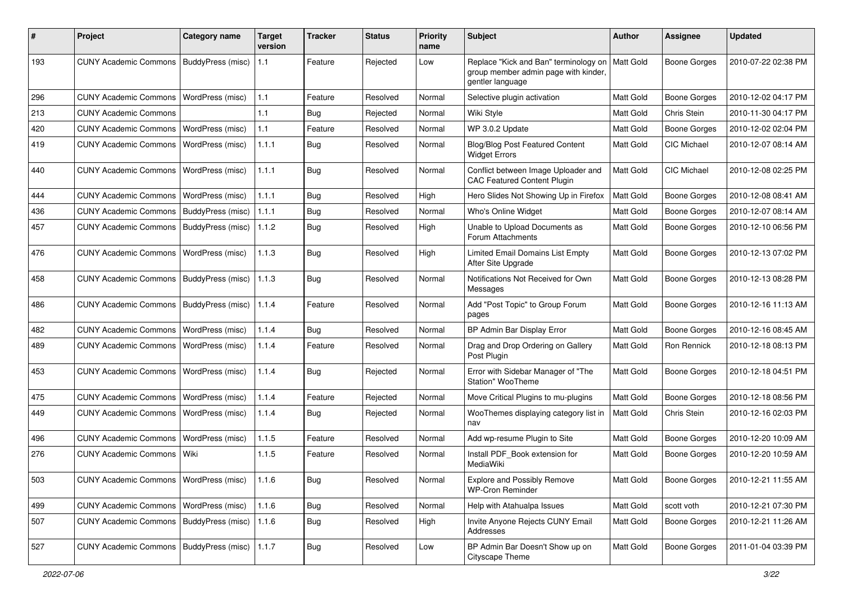| #   | Project                                           | <b>Category name</b> | <b>Target</b><br>version | <b>Tracker</b> | <b>Status</b> | <b>Priority</b><br>name | <b>Subject</b>                                                                                    | Author           | <b>Assignee</b>     | <b>Updated</b>      |
|-----|---------------------------------------------------|----------------------|--------------------------|----------------|---------------|-------------------------|---------------------------------------------------------------------------------------------------|------------------|---------------------|---------------------|
| 193 | <b>CUNY Academic Commons</b>                      | BuddyPress (misc)    | 1.1                      | Feature        | Rejected      | Low                     | Replace "Kick and Ban" terminology on<br>group member admin page with kinder,<br>gentler language | Matt Gold        | <b>Boone Gorges</b> | 2010-07-22 02:38 PM |
| 296 | <b>CUNY Academic Commons</b>                      | WordPress (misc)     | 1.1                      | Feature        | Resolved      | Normal                  | Selective plugin activation                                                                       | Matt Gold        | <b>Boone Gorges</b> | 2010-12-02 04:17 PM |
| 213 | <b>CUNY Academic Commons</b>                      |                      | $1.1$                    | <b>Bug</b>     | Rejected      | Normal                  | Wiki Style                                                                                        | Matt Gold        | Chris Stein         | 2010-11-30 04:17 PM |
| 420 | <b>CUNY Academic Commons</b>                      | WordPress (misc)     | 1.1                      | Feature        | Resolved      | Normal                  | WP 3.0.2 Update                                                                                   | Matt Gold        | Boone Gorges        | 2010-12-02 02:04 PM |
| 419 | <b>CUNY Academic Commons</b>                      | WordPress (misc)     | 1.1.1                    | Bug            | Resolved      | Normal                  | <b>Blog/Blog Post Featured Content</b><br><b>Widget Errors</b>                                    | Matt Gold        | <b>CIC Michael</b>  | 2010-12-07 08:14 AM |
| 440 | <b>CUNY Academic Commons</b>                      | WordPress (misc)     | 1.1.1                    | Bug            | Resolved      | Normal                  | Conflict between Image Uploader and<br><b>CAC Featured Content Plugin</b>                         | <b>Matt Gold</b> | CIC Michael         | 2010-12-08 02:25 PM |
| 444 | <b>CUNY Academic Commons</b>                      | WordPress (misc)     | 1.1.1                    | Bug            | Resolved      | High                    | Hero Slides Not Showing Up in Firefox                                                             | Matt Gold        | <b>Boone Gorges</b> | 2010-12-08 08:41 AM |
| 436 | <b>CUNY Academic Commons</b>                      | BuddyPress (misc)    | 1.1.1                    | Bug            | Resolved      | Normal                  | Who's Online Widget                                                                               | Matt Gold        | <b>Boone Gorges</b> | 2010-12-07 08:14 AM |
| 457 | <b>CUNY Academic Commons</b>                      | BuddyPress (misc)    | 1.1.2                    | Bug            | Resolved      | High                    | Unable to Upload Documents as<br>Forum Attachments                                                | Matt Gold        | Boone Gorges        | 2010-12-10 06:56 PM |
| 476 | <b>CUNY Academic Commons</b>                      | WordPress (misc)     | 1.1.3                    | Bug            | Resolved      | High                    | Limited Email Domains List Empty<br>After Site Upgrade                                            | Matt Gold        | Boone Gorges        | 2010-12-13 07:02 PM |
| 458 | <b>CUNY Academic Commons</b>                      | BuddyPress (misc)    | 1.1.3                    | Bug            | Resolved      | Normal                  | Notifications Not Received for Own<br>Messages                                                    | <b>Matt Gold</b> | Boone Gorges        | 2010-12-13 08:28 PM |
| 486 | <b>CUNY Academic Commons</b>                      | BuddyPress (misc)    | 1.1.4                    | Feature        | Resolved      | Normal                  | Add "Post Topic" to Group Forum<br>pages                                                          | Matt Gold        | Boone Gorges        | 2010-12-16 11:13 AM |
| 482 | <b>CUNY Academic Commons</b>                      | WordPress (misc)     | 1.1.4                    | Bug            | Resolved      | Normal                  | BP Admin Bar Display Error                                                                        | Matt Gold        | <b>Boone Gorges</b> | 2010-12-16 08:45 AM |
| 489 | <b>CUNY Academic Commons</b>                      | WordPress (misc)     | 1.1.4                    | Feature        | Resolved      | Normal                  | Drag and Drop Ordering on Gallery<br>Post Plugin                                                  | <b>Matt Gold</b> | Ron Rennick         | 2010-12-18 08:13 PM |
| 453 | <b>CUNY Academic Commons</b>                      | WordPress (misc)     | 1.1.4                    | Bug            | Rejected      | Normal                  | Error with Sidebar Manager of "The<br>Station" WooTheme                                           | Matt Gold        | Boone Gorges        | 2010-12-18 04:51 PM |
| 475 | <b>CUNY Academic Commons</b>                      | WordPress (misc)     | 1.1.4                    | Feature        | Rejected      | Normal                  | Move Critical Plugins to mu-plugins                                                               | Matt Gold        | <b>Boone Gorges</b> | 2010-12-18 08:56 PM |
| 449 | <b>CUNY Academic Commons</b>                      | WordPress (misc)     | 1.1.4                    | Bug            | Rejected      | Normal                  | WooThemes displaying category list in<br>nav                                                      | Matt Gold        | Chris Stein         | 2010-12-16 02:03 PM |
| 496 | <b>CUNY Academic Commons</b>                      | WordPress (misc)     | 1.1.5                    | Feature        | Resolved      | Normal                  | Add wp-resume Plugin to Site                                                                      | Matt Gold        | <b>Boone Gorges</b> | 2010-12-20 10:09 AM |
| 276 | <b>CUNY Academic Commons</b>                      | Wiki                 | 1.1.5                    | Feature        | Resolved      | Normal                  | Install PDF_Book extension for<br>MediaWiki                                                       | <b>Matt Gold</b> | Boone Gorges        | 2010-12-20 10:59 AM |
| 503 | CUNY Academic Commons   WordPress (misc)          |                      | 1.1.6                    | Bug            | Resolved      | Normal                  | <b>Explore and Possibly Remove</b><br><b>WP-Cron Reminder</b>                                     | Matt Gold        | <b>Boone Gorges</b> | 2010-12-21 11:55 AM |
| 499 | CUNY Academic Commons   WordPress (misc)          |                      | 1.1.6                    | Bug            | Resolved      | Normal                  | Help with Atahualpa Issues                                                                        | Matt Gold        | scott voth          | 2010-12-21 07:30 PM |
| 507 | <b>CUNY Academic Commons</b>                      | BuddyPress (misc)    | 1.1.6                    | Bug            | Resolved      | High                    | Invite Anyone Rejects CUNY Email<br>Addresses                                                     | Matt Gold        | <b>Boone Gorges</b> | 2010-12-21 11:26 AM |
| 527 | CUNY Academic Commons   BuddyPress (misc)   1.1.7 |                      |                          | Bug            | Resolved      | Low                     | BP Admin Bar Doesn't Show up on<br>Cityscape Theme                                                | Matt Gold        | <b>Boone Gorges</b> | 2011-01-04 03:39 PM |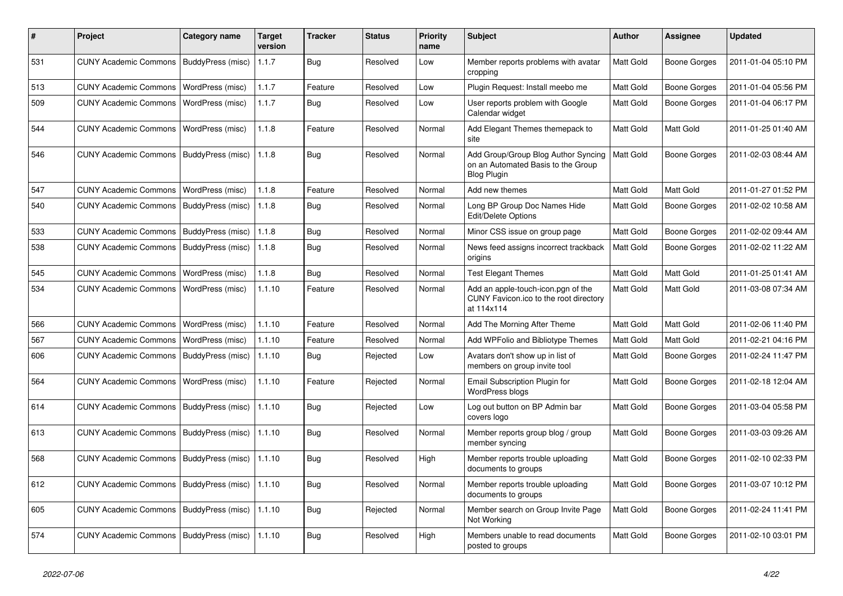| #   | Project                      | Category name     | <b>Target</b><br>version | Tracker    | <b>Status</b> | <b>Priority</b><br>name | <b>Subject</b>                                                                                  | <b>Author</b>    | <b>Assignee</b>     | <b>Updated</b>      |
|-----|------------------------------|-------------------|--------------------------|------------|---------------|-------------------------|-------------------------------------------------------------------------------------------------|------------------|---------------------|---------------------|
| 531 | <b>CUNY Academic Commons</b> | BuddyPress (misc) | 1.1.7                    | Bug        | Resolved      | Low                     | Member reports problems with avatar<br>cropping                                                 | <b>Matt Gold</b> | <b>Boone Gorges</b> | 2011-01-04 05:10 PM |
| 513 | <b>CUNY Academic Commons</b> | WordPress (misc)  | 1.1.7                    | Feature    | Resolved      | Low                     | Plugin Request: Install meebo me                                                                | Matt Gold        | Boone Gorges        | 2011-01-04 05:56 PM |
| 509 | <b>CUNY Academic Commons</b> | WordPress (misc)  | 1.1.7                    | Bug        | Resolved      | Low                     | User reports problem with Google<br>Calendar widget                                             | Matt Gold        | Boone Gorges        | 2011-01-04 06:17 PM |
| 544 | <b>CUNY Academic Commons</b> | WordPress (misc)  | 1.1.8                    | Feature    | Resolved      | Normal                  | Add Elegant Themes themepack to<br>site                                                         | Matt Gold        | Matt Gold           | 2011-01-25 01:40 AM |
| 546 | <b>CUNY Academic Commons</b> | BuddyPress (misc) | 1.1.8                    | <b>Bug</b> | Resolved      | Normal                  | Add Group/Group Blog Author Syncing<br>on an Automated Basis to the Group<br><b>Blog Plugin</b> | Matt Gold        | Boone Gorges        | 2011-02-03 08:44 AM |
| 547 | <b>CUNY Academic Commons</b> | WordPress (misc)  | 1.1.8                    | Feature    | Resolved      | Normal                  | Add new themes                                                                                  | Matt Gold        | Matt Gold           | 2011-01-27 01:52 PM |
| 540 | <b>CUNY Academic Commons</b> | BuddyPress (misc) | 1.1.8                    | Bug        | Resolved      | Normal                  | Long BP Group Doc Names Hide<br><b>Edit/Delete Options</b>                                      | Matt Gold        | Boone Gorges        | 2011-02-02 10:58 AM |
| 533 | <b>CUNY Academic Commons</b> | BuddyPress (misc) | 1.1.8                    | Bug        | Resolved      | Normal                  | Minor CSS issue on group page                                                                   | Matt Gold        | Boone Gorges        | 2011-02-02 09:44 AM |
| 538 | <b>CUNY Academic Commons</b> | BuddyPress (misc) | 1.1.8                    | Bug        | Resolved      | Normal                  | News feed assigns incorrect trackback<br>origins                                                | Matt Gold        | Boone Gorges        | 2011-02-02 11:22 AM |
| 545 | <b>CUNY Academic Commons</b> | WordPress (misc)  | 1.1.8                    | <b>Bug</b> | Resolved      | Normal                  | <b>Test Elegant Themes</b>                                                                      | Matt Gold        | Matt Gold           | 2011-01-25 01:41 AM |
| 534 | <b>CUNY Academic Commons</b> | WordPress (misc)  | 1.1.10                   | Feature    | Resolved      | Normal                  | Add an apple-touch-icon.pgn of the<br>CUNY Favicon.ico to the root directory<br>at 114x114      | Matt Gold        | Matt Gold           | 2011-03-08 07:34 AM |
| 566 | <b>CUNY Academic Commons</b> | WordPress (misc)  | 1.1.10                   | Feature    | Resolved      | Normal                  | Add The Morning After Theme                                                                     | Matt Gold        | Matt Gold           | 2011-02-06 11:40 PM |
| 567 | <b>CUNY Academic Commons</b> | WordPress (misc)  | 1.1.10                   | Feature    | Resolved      | Normal                  | Add WPFolio and Bibliotype Themes                                                               | Matt Gold        | Matt Gold           | 2011-02-21 04:16 PM |
| 606 | <b>CUNY Academic Commons</b> | BuddyPress (misc) | 1.1.10                   | Bug        | Rejected      | Low                     | Avatars don't show up in list of<br>members on group invite tool                                | Matt Gold        | Boone Gorges        | 2011-02-24 11:47 PM |
| 564 | <b>CUNY Academic Commons</b> | WordPress (misc)  | 1.1.10                   | Feature    | Rejected      | Normal                  | Email Subscription Plugin for<br>WordPress blogs                                                | Matt Gold        | <b>Boone Gorges</b> | 2011-02-18 12:04 AM |
| 614 | <b>CUNY Academic Commons</b> | BuddyPress (misc) | 1.1.10                   | <b>Bug</b> | Rejected      | Low                     | Log out button on BP Admin bar<br>covers logo                                                   | Matt Gold        | Boone Gorges        | 2011-03-04 05:58 PM |
| 613 | <b>CUNY Academic Commons</b> | BuddyPress (misc) | 1.1.10                   | Bug        | Resolved      | Normal                  | Member reports group blog / group<br>member syncing                                             | <b>Matt Gold</b> | Boone Gorges        | 2011-03-03 09:26 AM |
| 568 | <b>CUNY Academic Commons</b> | BuddyPress (misc) | 1.1.10                   | Bug        | Resolved      | High                    | Member reports trouble uploading<br>documents to groups                                         | Matt Gold        | Boone Gorges        | 2011-02-10 02:33 PM |
| 612 | <b>CUNY Academic Commons</b> | BuddyPress (misc) | 1.1.10                   | <b>Bug</b> | Resolved      | Normal                  | Member reports trouble uploading<br>documents to groups                                         | Matt Gold        | Boone Gorges        | 2011-03-07 10:12 PM |
| 605 | <b>CUNY Academic Commons</b> | BuddyPress (misc) | 1.1.10                   | <b>Bug</b> | Rejected      | Normal                  | Member search on Group Invite Page<br>Not Working                                               | Matt Gold        | Boone Gorges        | 2011-02-24 11:41 PM |
| 574 | <b>CUNY Academic Commons</b> | BuddyPress (misc) | 1.1.10                   | Bug        | Resolved      | High                    | Members unable to read documents<br>posted to groups                                            | Matt Gold        | <b>Boone Gorges</b> | 2011-02-10 03:01 PM |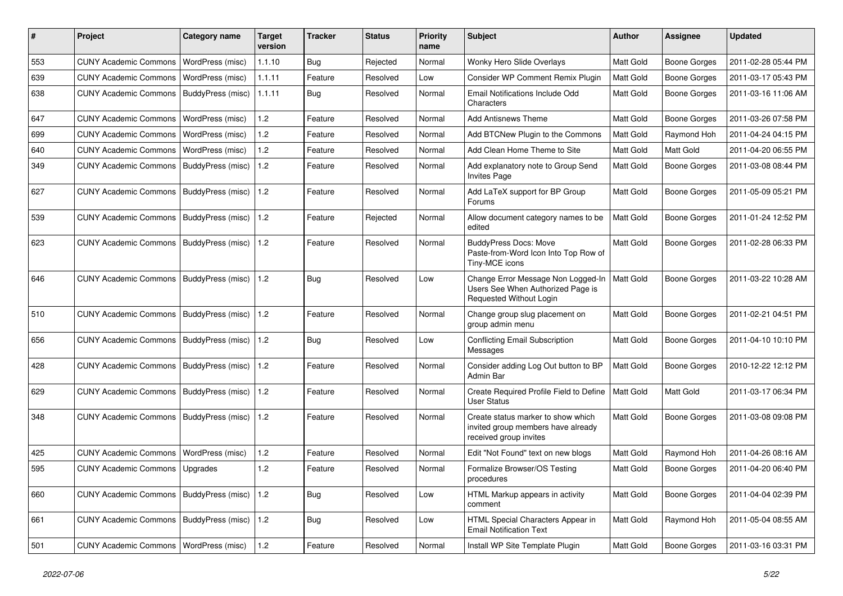| #   | Project                                  | <b>Category name</b>     | <b>Target</b><br>version | <b>Tracker</b> | <b>Status</b> | <b>Priority</b><br>name | Subject                                                                                            | <b>Author</b>    | <b>Assignee</b>     | <b>Updated</b>      |
|-----|------------------------------------------|--------------------------|--------------------------|----------------|---------------|-------------------------|----------------------------------------------------------------------------------------------------|------------------|---------------------|---------------------|
| 553 | <b>CUNY Academic Commons</b>             | WordPress (misc)         | 1.1.10                   | Bug            | Rejected      | Normal                  | Wonky Hero Slide Overlays                                                                          | Matt Gold        | <b>Boone Gorges</b> | 2011-02-28 05:44 PM |
| 639 | <b>CUNY Academic Commons</b>             | WordPress (misc)         | 1.1.11                   | Feature        | Resolved      | Low                     | Consider WP Comment Remix Plugin                                                                   | Matt Gold        | <b>Boone Gorges</b> | 2011-03-17 05:43 PM |
| 638 | <b>CUNY Academic Commons</b>             | BuddyPress (misc)        | 1.1.11                   | Bug            | Resolved      | Normal                  | Email Notifications Include Odd<br>Characters                                                      | Matt Gold        | <b>Boone Gorges</b> | 2011-03-16 11:06 AM |
| 647 | <b>CUNY Academic Commons</b>             | WordPress (misc)         | 1.2                      | Feature        | Resolved      | Normal                  | <b>Add Antisnews Theme</b>                                                                         | Matt Gold        | <b>Boone Gorges</b> | 2011-03-26 07:58 PM |
| 699 | <b>CUNY Academic Commons</b>             | WordPress (misc)         | 1.2                      | Feature        | Resolved      | Normal                  | Add BTCNew Plugin to the Commons                                                                   | Matt Gold        | Raymond Hoh         | 2011-04-24 04:15 PM |
| 640 | <b>CUNY Academic Commons</b>             | WordPress (misc)         | 1.2                      | Feature        | Resolved      | Normal                  | Add Clean Home Theme to Site                                                                       | Matt Gold        | Matt Gold           | 2011-04-20 06:55 PM |
| 349 | <b>CUNY Academic Commons</b>             | BuddyPress (misc)        | 1.2                      | Feature        | Resolved      | Normal                  | Add explanatory note to Group Send<br><b>Invites Page</b>                                          | Matt Gold        | Boone Gorges        | 2011-03-08 08:44 PM |
| 627 | <b>CUNY Academic Commons</b>             | BuddyPress (misc)        | 1.2                      | Feature        | Resolved      | Normal                  | Add LaTeX support for BP Group<br>Forums                                                           | Matt Gold        | Boone Gorges        | 2011-05-09 05:21 PM |
| 539 | <b>CUNY Academic Commons</b>             | BuddyPress (misc)        | 1.2                      | Feature        | Rejected      | Normal                  | Allow document category names to be<br>edited                                                      | <b>Matt Gold</b> | Boone Gorges        | 2011-01-24 12:52 PM |
| 623 | <b>CUNY Academic Commons</b>             | BuddyPress (misc)        | 1.2                      | Feature        | Resolved      | Normal                  | <b>BuddyPress Docs: Move</b><br>Paste-from-Word Icon Into Top Row of<br>Tiny-MCE icons             | <b>Matt Gold</b> | Boone Gorges        | 2011-02-28 06:33 PM |
| 646 | <b>CUNY Academic Commons</b>             | BuddyPress (misc)        | 1.2                      | Bug            | Resolved      | Low                     | Change Error Message Non Logged-In<br>Users See When Authorized Page is<br>Requested Without Login | <b>Matt Gold</b> | Boone Gorges        | 2011-03-22 10:28 AM |
| 510 | <b>CUNY Academic Commons</b>             | BuddyPress (misc)        | 1.2                      | Feature        | Resolved      | Normal                  | Change group slug placement on<br>group admin menu                                                 | <b>Matt Gold</b> | Boone Gorges        | 2011-02-21 04:51 PM |
| 656 | <b>CUNY Academic Commons</b>             | BuddyPress (misc)        | 1.2                      | Bug            | Resolved      | Low                     | Conflicting Email Subscription<br>Messages                                                         | Matt Gold        | <b>Boone Gorges</b> | 2011-04-10 10:10 PM |
| 428 | <b>CUNY Academic Commons</b>             | BuddyPress (misc)        | 1.2                      | Feature        | Resolved      | Normal                  | Consider adding Log Out button to BP<br>Admin Bar                                                  | <b>Matt Gold</b> | Boone Gorges        | 2010-12-22 12:12 PM |
| 629 | <b>CUNY Academic Commons</b>             | BuddyPress (misc)        | 1.2                      | Feature        | Resolved      | Normal                  | Create Required Profile Field to Define<br><b>User Status</b>                                      | <b>Matt Gold</b> | Matt Gold           | 2011-03-17 06:34 PM |
| 348 | <b>CUNY Academic Commons</b>             | BuddyPress (misc)        | 1.2                      | Feature        | Resolved      | Normal                  | Create status marker to show which<br>invited group members have already<br>received group invites | Matt Gold        | Boone Gorges        | 2011-03-08 09:08 PM |
| 425 | <b>CUNY Academic Commons</b>             | <b>WordPress (misc)</b>  | 1.2                      | Feature        | Resolved      | Normal                  | Edit "Not Found" text on new blogs                                                                 | Matt Gold        | Raymond Hoh         | 2011-04-26 08:16 AM |
| 595 | <b>CUNY Academic Commons</b>             | <b>Upgrades</b>          | 1.2                      | Feature        | Resolved      | Normal                  | Formalize Browser/OS Testing<br>procedures                                                         | Matt Gold        | Boone Gorges        | 2011-04-20 06:40 PM |
| 660 | <b>CUNY Academic Commons</b>             | BuddyPress (misc)        | $1.2$                    | Bug            | Resolved      | Low                     | HTML Markup appears in activity<br>comment                                                         | Matt Gold        | Boone Gorges        | 2011-04-04 02:39 PM |
| 661 | <b>CUNY Academic Commons</b>             | <b>BuddyPress (misc)</b> | $1.2$                    | Bug            | Resolved      | Low                     | HTML Special Characters Appear in<br><b>Email Notification Text</b>                                | Matt Gold        | Raymond Hoh         | 2011-05-04 08:55 AM |
| 501 | CUNY Academic Commons   WordPress (misc) |                          | $1.2$                    | Feature        | Resolved      | Normal                  | Install WP Site Template Plugin                                                                    | Matt Gold        | Boone Gorges        | 2011-03-16 03:31 PM |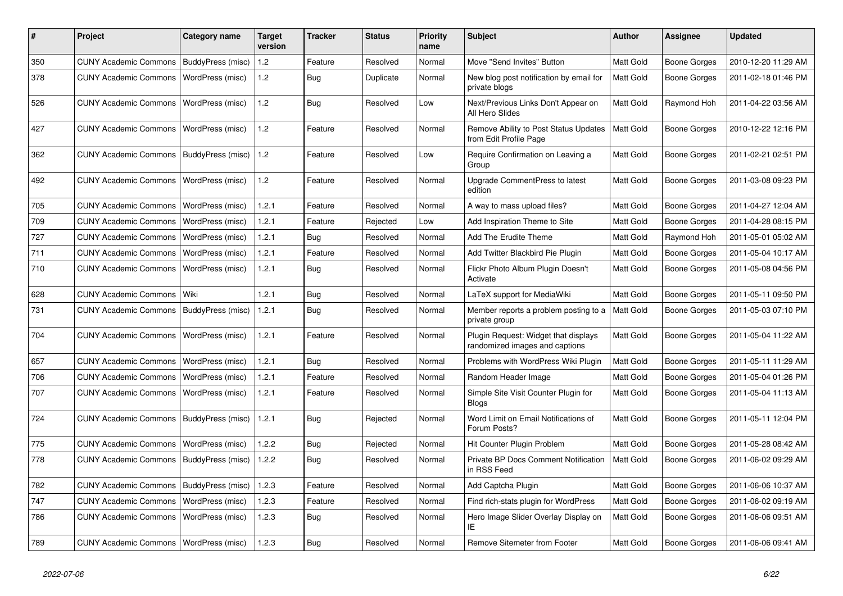| #   | Project                                  | Category name     | <b>Target</b><br>version | <b>Tracker</b> | <b>Status</b> | Priority<br>name | <b>Subject</b>                                                         | <b>Author</b> | <b>Assignee</b>     | <b>Updated</b>      |
|-----|------------------------------------------|-------------------|--------------------------|----------------|---------------|------------------|------------------------------------------------------------------------|---------------|---------------------|---------------------|
| 350 | <b>CUNY Academic Commons</b>             | BuddyPress (misc) | 1.2                      | Feature        | Resolved      | Normal           | Move "Send Invites" Button                                             | Matt Gold     | <b>Boone Gorges</b> | 2010-12-20 11:29 AM |
| 378 | <b>CUNY Academic Commons</b>             | WordPress (misc)  | $1.2$                    | Bug            | Duplicate     | Normal           | New blog post notification by email for<br>private blogs               | Matt Gold     | Boone Gorges        | 2011-02-18 01:46 PM |
| 526 | <b>CUNY Academic Commons</b>             | WordPress (misc)  | 1.2                      | <b>Bug</b>     | Resolved      | Low              | Next/Previous Links Don't Appear on<br>All Hero Slides                 | Matt Gold     | Raymond Hoh         | 2011-04-22 03:56 AM |
| 427 | <b>CUNY Academic Commons</b>             | WordPress (misc)  | 1.2                      | Feature        | Resolved      | Normal           | Remove Ability to Post Status Updates<br>from Edit Profile Page        | Matt Gold     | Boone Gorges        | 2010-12-22 12:16 PM |
| 362 | <b>CUNY Academic Commons</b>             | BuddyPress (misc) | 1.2                      | Feature        | Resolved      | Low              | Require Confirmation on Leaving a<br>Group                             | Matt Gold     | Boone Gorges        | 2011-02-21 02:51 PM |
| 492 | <b>CUNY Academic Commons</b>             | WordPress (misc)  | 1.2                      | Feature        | Resolved      | Normal           | Upgrade CommentPress to latest<br>edition                              | Matt Gold     | Boone Gorges        | 2011-03-08 09:23 PM |
| 705 | <b>CUNY Academic Commons</b>             | WordPress (misc)  | 1.2.1                    | Feature        | Resolved      | Normal           | A way to mass upload files?                                            | Matt Gold     | Boone Gorges        | 2011-04-27 12:04 AM |
| 709 | <b>CUNY Academic Commons</b>             | WordPress (misc)  | 1.2.1                    | Feature        | Rejected      | Low              | Add Inspiration Theme to Site                                          | Matt Gold     | <b>Boone Gorges</b> | 2011-04-28 08:15 PM |
| 727 | <b>CUNY Academic Commons</b>             | WordPress (misc)  | 1.2.1                    | Bug            | Resolved      | Normal           | Add The Erudite Theme                                                  | Matt Gold     | Raymond Hoh         | 2011-05-01 05:02 AM |
| 711 | <b>CUNY Academic Commons</b>             | WordPress (misc)  | 1.2.1                    | Feature        | Resolved      | Normal           | Add Twitter Blackbird Pie Plugin                                       | Matt Gold     | Boone Gorges        | 2011-05-04 10:17 AM |
| 710 | <b>CUNY Academic Commons</b>             | WordPress (misc)  | 1.2.1                    | <b>Bug</b>     | Resolved      | Normal           | Flickr Photo Album Plugin Doesn't<br>Activate                          | Matt Gold     | Boone Gorges        | 2011-05-08 04:56 PM |
| 628 | <b>CUNY Academic Commons</b>             | Wiki              | 1.2.1                    | Bug            | Resolved      | Normal           | LaTeX support for MediaWiki                                            | Matt Gold     | Boone Gorges        | 2011-05-11 09:50 PM |
| 731 | <b>CUNY Academic Commons</b>             | BuddyPress (misc) | 1.2.1                    | Bug            | Resolved      | Normal           | Member reports a problem posting to a<br>private group                 | Matt Gold     | <b>Boone Gorges</b> | 2011-05-03 07:10 PM |
| 704 | <b>CUNY Academic Commons</b>             | WordPress (misc)  | 1.2.1                    | Feature        | Resolved      | Normal           | Plugin Request: Widget that displays<br>randomized images and captions | Matt Gold     | Boone Gorges        | 2011-05-04 11:22 AM |
| 657 | <b>CUNY Academic Commons</b>             | WordPress (misc)  | 1.2.1                    | Bug            | Resolved      | Normal           | Problems with WordPress Wiki Plugin                                    | Matt Gold     | <b>Boone Gorges</b> | 2011-05-11 11:29 AM |
| 706 | <b>CUNY Academic Commons</b>             | WordPress (misc)  | 1.2.1                    | Feature        | Resolved      | Normal           | Random Header Image                                                    | Matt Gold     | <b>Boone Gorges</b> | 2011-05-04 01:26 PM |
| 707 | <b>CUNY Academic Commons</b>             | WordPress (misc)  | 1.2.1                    | Feature        | Resolved      | Normal           | Simple Site Visit Counter Plugin for<br><b>Blogs</b>                   | Matt Gold     | <b>Boone Gorges</b> | 2011-05-04 11:13 AM |
| 724 | <b>CUNY Academic Commons</b>             | BuddyPress (misc) | 1.2.1                    | <b>Bug</b>     | Rejected      | Normal           | Word Limit on Email Notifications of<br>Forum Posts?                   | Matt Gold     | Boone Gorges        | 2011-05-11 12:04 PM |
| 775 | <b>CUNY Academic Commons</b>             | WordPress (misc)  | 1.2.2                    | Bug            | Rejected      | Normal           | Hit Counter Plugin Problem                                             | Matt Gold     | <b>Boone Gorges</b> | 2011-05-28 08:42 AM |
| 778 | <b>CUNY Academic Commons</b>             | BuddyPress (misc) | 1.2.2                    | Bug            | Resolved      | Normal           | Private BP Docs Comment Notification<br>in RSS Feed                    | Matt Gold     | Boone Gorges        | 2011-06-02 09:29 AM |
| 782 | <b>CUNY Academic Commons</b>             | BuddyPress (misc) | 1.2.3                    | Feature        | Resolved      | Normal           | Add Captcha Plugin                                                     | Matt Gold     | Boone Gorges        | 2011-06-06 10:37 AM |
| 747 | <b>CUNY Academic Commons</b>             | WordPress (misc)  | 1.2.3                    | Feature        | Resolved      | Normal           | Find rich-stats plugin for WordPress                                   | Matt Gold     | <b>Boone Gorges</b> | 2011-06-02 09:19 AM |
| 786 | <b>CUNY Academic Commons</b>             | WordPress (misc)  | 1.2.3                    | Bug            | Resolved      | Normal           | Hero Image Slider Overlay Display on<br>ΙE                             | Matt Gold     | Boone Gorges        | 2011-06-06 09:51 AM |
| 789 | CUNY Academic Commons   WordPress (misc) |                   | 1.2.3                    | <b>Bug</b>     | Resolved      | Normal           | Remove Sitemeter from Footer                                           | Matt Gold     | Boone Gorges        | 2011-06-06 09:41 AM |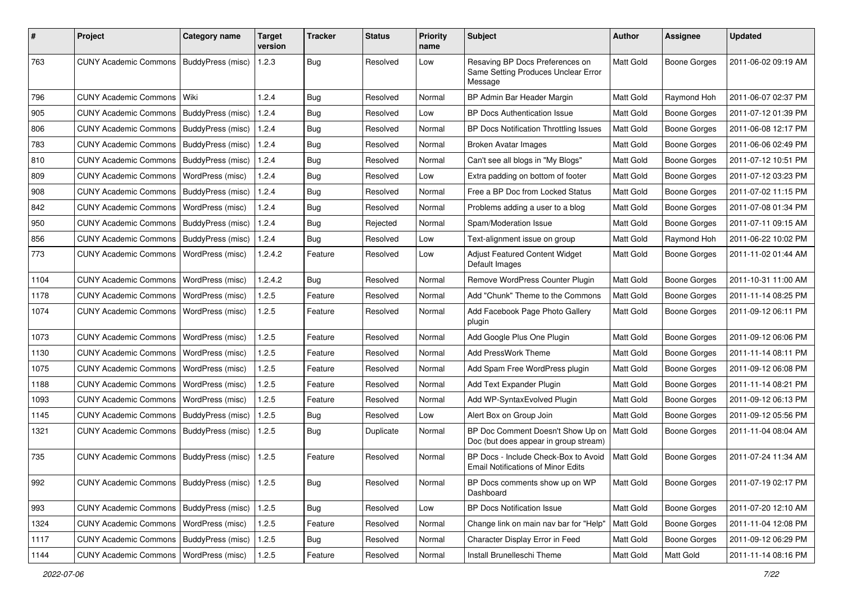| #    | Project                                           | <b>Category name</b>     | <b>Target</b><br>version | <b>Tracker</b> | <b>Status</b> | <b>Priority</b><br>name | <b>Subject</b>                                                                    | <b>Author</b>    | Assignee            | <b>Updated</b>      |
|------|---------------------------------------------------|--------------------------|--------------------------|----------------|---------------|-------------------------|-----------------------------------------------------------------------------------|------------------|---------------------|---------------------|
| 763  | <b>CUNY Academic Commons</b>                      | BuddyPress (misc)        | 1.2.3                    | <b>Bug</b>     | Resolved      | Low                     | Resaving BP Docs Preferences on<br>Same Setting Produces Unclear Error<br>Message | Matt Gold        | <b>Boone Gorges</b> | 2011-06-02 09:19 AM |
| 796  | <b>CUNY Academic Commons</b>                      | Wiki                     | 1.2.4                    | Bug            | Resolved      | Normal                  | BP Admin Bar Header Margin                                                        | Matt Gold        | Raymond Hoh         | 2011-06-07 02:37 PM |
| 905  | <b>CUNY Academic Commons</b>                      | BuddyPress (misc)        | 1.2.4                    | Bug            | Resolved      | Low                     | <b>BP Docs Authentication Issue</b>                                               | Matt Gold        | <b>Boone Gorges</b> | 2011-07-12 01:39 PM |
| 806  | <b>CUNY Academic Commons</b>                      | BuddyPress (misc)        | 1.2.4                    | Bug            | Resolved      | Normal                  | BP Docs Notification Throttling Issues                                            | Matt Gold        | <b>Boone Gorges</b> | 2011-06-08 12:17 PM |
| 783  | <b>CUNY Academic Commons</b>                      | BuddyPress (misc)        | 1.2.4                    | Bug            | Resolved      | Normal                  | <b>Broken Avatar Images</b>                                                       | Matt Gold        | <b>Boone Gorges</b> | 2011-06-06 02:49 PM |
| 810  | <b>CUNY Academic Commons</b>                      | BuddyPress (misc)        | 1.2.4                    | Bug            | Resolved      | Normal                  | Can't see all blogs in "My Blogs"                                                 | Matt Gold        | <b>Boone Gorges</b> | 2011-07-12 10:51 PM |
| 809  | <b>CUNY Academic Commons</b>                      | <b>WordPress (misc)</b>  | 1.2.4                    | Bug            | Resolved      | Low                     | Extra padding on bottom of footer                                                 | Matt Gold        | <b>Boone Gorges</b> | 2011-07-12 03:23 PM |
| 908  | <b>CUNY Academic Commons</b>                      | <b>BuddyPress (misc)</b> | 1.2.4                    | Bug            | Resolved      | Normal                  | Free a BP Doc from Locked Status                                                  | Matt Gold        | <b>Boone Gorges</b> | 2011-07-02 11:15 PM |
| 842  | <b>CUNY Academic Commons</b>                      | WordPress (misc)         | 1.2.4                    | <b>Bug</b>     | Resolved      | Normal                  | Problems adding a user to a blog                                                  | Matt Gold        | <b>Boone Gorges</b> | 2011-07-08 01:34 PM |
| 950  | <b>CUNY Academic Commons</b>                      | BuddyPress (misc)        | 1.2.4                    | Bug            | Rejected      | Normal                  | Spam/Moderation Issue                                                             | Matt Gold        | <b>Boone Gorges</b> | 2011-07-11 09:15 AM |
| 856  | <b>CUNY Academic Commons</b>                      | BuddyPress (misc)        | 1.2.4                    | <b>Bug</b>     | Resolved      | Low                     | Text-alignment issue on group                                                     | Matt Gold        | Raymond Hoh         | 2011-06-22 10:02 PM |
| 773  | <b>CUNY Academic Commons</b>                      | WordPress (misc)         | 1.2.4.2                  | Feature        | Resolved      | Low                     | Adjust Featured Content Widget<br>Default Images                                  | Matt Gold        | <b>Boone Gorges</b> | 2011-11-02 01:44 AM |
| 1104 | <b>CUNY Academic Commons</b>                      | WordPress (misc)         | 1.2.4.2                  | Bug            | Resolved      | Normal                  | Remove WordPress Counter Plugin                                                   | Matt Gold        | <b>Boone Gorges</b> | 2011-10-31 11:00 AM |
| 1178 | <b>CUNY Academic Commons</b>                      | WordPress (misc)         | 1.2.5                    | Feature        | Resolved      | Normal                  | Add "Chunk" Theme to the Commons                                                  | Matt Gold        | <b>Boone Gorges</b> | 2011-11-14 08:25 PM |
| 1074 | <b>CUNY Academic Commons</b>                      | WordPress (misc)         | 1.2.5                    | Feature        | Resolved      | Normal                  | Add Facebook Page Photo Gallery<br>plugin                                         | Matt Gold        | <b>Boone Gorges</b> | 2011-09-12 06:11 PM |
| 1073 | <b>CUNY Academic Commons</b>                      | <b>WordPress (misc)</b>  | 1.2.5                    | Feature        | Resolved      | Normal                  | Add Google Plus One Plugin                                                        | Matt Gold        | Boone Gorges        | 2011-09-12 06:06 PM |
| 1130 | <b>CUNY Academic Commons</b>                      | WordPress (misc)         | 1.2.5                    | Feature        | Resolved      | Normal                  | <b>Add PressWork Theme</b>                                                        | Matt Gold        | <b>Boone Gorges</b> | 2011-11-14 08:11 PM |
| 1075 | <b>CUNY Academic Commons</b>                      | WordPress (misc)         | 1.2.5                    | Feature        | Resolved      | Normal                  | Add Spam Free WordPress plugin                                                    | Matt Gold        | <b>Boone Gorges</b> | 2011-09-12 06:08 PM |
| 1188 | <b>CUNY Academic Commons</b>                      | WordPress (misc)         | 1.2.5                    | Feature        | Resolved      | Normal                  | Add Text Expander Plugin                                                          | Matt Gold        | <b>Boone Gorges</b> | 2011-11-14 08:21 PM |
| 1093 | <b>CUNY Academic Commons</b>                      | WordPress (misc)         | 1.2.5                    | Feature        | Resolved      | Normal                  | Add WP-SyntaxEvolved Plugin                                                       | Matt Gold        | <b>Boone Gorges</b> | 2011-09-12 06:13 PM |
| 1145 | <b>CUNY Academic Commons</b>                      | <b>BuddyPress (misc)</b> | 1.2.5                    | <b>Bug</b>     | Resolved      | Low                     | Alert Box on Group Join                                                           | Matt Gold        | <b>Boone Gorges</b> | 2011-09-12 05:56 PM |
| 1321 | <b>CUNY Academic Commons</b>                      | BuddyPress (misc)        | 1.2.5                    | Bug            | Duplicate     | Normal                  | BP Doc Comment Doesn't Show Up on<br>Doc (but does appear in group stream)        | Matt Gold        | <b>Boone Gorges</b> | 2011-11-04 08:04 AM |
| 735  | <b>CUNY Academic Commons</b>                      | BuddyPress (misc)        | 1.2.5                    | Feature        | Resolved      | Normal                  | BP Docs - Include Check-Box to Avoid<br><b>Email Notifications of Minor Edits</b> | Matt Gold        | <b>Boone Gorges</b> | 2011-07-24 11:34 AM |
| 992  | CUNY Academic Commons   BuddyPress (misc)   1.2.5 |                          |                          | <b>Bug</b>     | Resolved      | Normal                  | BP Docs comments show up on WP<br>Dashboard                                       | <b>Matt Gold</b> | <b>Boone Gorges</b> | 2011-07-19 02:17 PM |
| 993  | CUNY Academic Commons   BuddyPress (misc)         |                          | 1.2.5                    | <b>Bug</b>     | Resolved      | Low                     | BP Docs Notification Issue                                                        | Matt Gold        | Boone Gorges        | 2011-07-20 12:10 AM |
| 1324 | <b>CUNY Academic Commons</b>                      | WordPress (misc)         | 1.2.5                    | Feature        | Resolved      | Normal                  | Change link on main nav bar for "Help"                                            | Matt Gold        | <b>Boone Gorges</b> | 2011-11-04 12:08 PM |
| 1117 | <b>CUNY Academic Commons</b>                      | BuddyPress (misc)        | 1.2.5                    | Bug            | Resolved      | Normal                  | Character Display Error in Feed                                                   | Matt Gold        | <b>Boone Gorges</b> | 2011-09-12 06:29 PM |
| 1144 | CUNY Academic Commons   WordPress (misc)          |                          | 1.2.5                    | Feature        | Resolved      | Normal                  | Install Brunelleschi Theme                                                        | Matt Gold        | Matt Gold           | 2011-11-14 08:16 PM |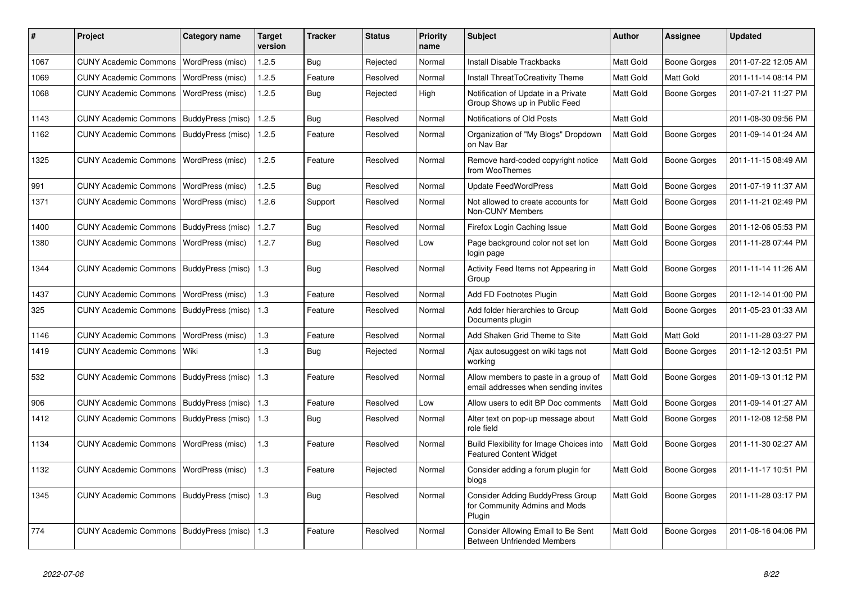| #    | Project                      | Category name     | <b>Target</b><br>version | <b>Tracker</b> | <b>Status</b> | Priority<br>name | <b>Subject</b>                                                               | <b>Author</b>    | <b>Assignee</b>     | <b>Updated</b>      |
|------|------------------------------|-------------------|--------------------------|----------------|---------------|------------------|------------------------------------------------------------------------------|------------------|---------------------|---------------------|
| 1067 | <b>CUNY Academic Commons</b> | WordPress (misc)  | 1.2.5                    | <b>Bug</b>     | Rejected      | Normal           | <b>Install Disable Trackbacks</b>                                            | Matt Gold        | Boone Gorges        | 2011-07-22 12:05 AM |
| 1069 | <b>CUNY Academic Commons</b> | WordPress (misc)  | 1.2.5                    | Feature        | Resolved      | Normal           | <b>Install ThreatToCreativity Theme</b>                                      | Matt Gold        | Matt Gold           | 2011-11-14 08:14 PM |
| 1068 | <b>CUNY Academic Commons</b> | WordPress (misc)  | 1.2.5                    | Bug            | Rejected      | High             | Notification of Update in a Private<br>Group Shows up in Public Feed         | <b>Matt Gold</b> | <b>Boone Gorges</b> | 2011-07-21 11:27 PM |
| 1143 | <b>CUNY Academic Commons</b> | BuddyPress (misc) | 1.2.5                    | Bug            | Resolved      | Normal           | Notifications of Old Posts                                                   | Matt Gold        |                     | 2011-08-30 09:56 PM |
| 1162 | <b>CUNY Academic Commons</b> | BuddyPress (misc) | 1.2.5                    | Feature        | Resolved      | Normal           | Organization of "My Blogs" Dropdown<br>on Nav Bar                            | Matt Gold        | Boone Gorges        | 2011-09-14 01:24 AM |
| 1325 | <b>CUNY Academic Commons</b> | WordPress (misc)  | 1.2.5                    | Feature        | Resolved      | Normal           | Remove hard-coded copyright notice<br>from WooThemes                         | Matt Gold        | Boone Gorges        | 2011-11-15 08:49 AM |
| 991  | <b>CUNY Academic Commons</b> | WordPress (misc)  | 1.2.5                    | <b>Bug</b>     | Resolved      | Normal           | <b>Update FeedWordPress</b>                                                  | <b>Matt Gold</b> | <b>Boone Gorges</b> | 2011-07-19 11:37 AM |
| 1371 | <b>CUNY Academic Commons</b> | WordPress (misc)  | 1.2.6                    | Support        | Resolved      | Normal           | Not allowed to create accounts for<br>Non-CUNY Members                       | <b>Matt Gold</b> | <b>Boone Gorges</b> | 2011-11-21 02:49 PM |
| 1400 | <b>CUNY Academic Commons</b> | BuddyPress (misc) | 1.2.7                    | <b>Bug</b>     | Resolved      | Normal           | Firefox Login Caching Issue                                                  | Matt Gold        | Boone Gorges        | 2011-12-06 05:53 PM |
| 1380 | <b>CUNY Academic Commons</b> | WordPress (misc)  | 1.2.7                    | Bug            | Resolved      | Low              | Page background color not set lon<br>login page                              | <b>Matt Gold</b> | Boone Gorges        | 2011-11-28 07:44 PM |
| 1344 | <b>CUNY Academic Commons</b> | BuddyPress (misc) | 1.3                      | Bug            | Resolved      | Normal           | Activity Feed Items not Appearing in<br>Group                                | <b>Matt Gold</b> | Boone Gorges        | 2011-11-14 11:26 AM |
| 1437 | <b>CUNY Academic Commons</b> | WordPress (misc)  | 1.3                      | Feature        | Resolved      | Normal           | Add FD Footnotes Plugin                                                      | Matt Gold        | Boone Gorges        | 2011-12-14 01:00 PM |
| 325  | <b>CUNY Academic Commons</b> | BuddyPress (misc) | 1.3                      | Feature        | Resolved      | Normal           | Add folder hierarchies to Group<br>Documents plugin                          | <b>Matt Gold</b> | Boone Gorges        | 2011-05-23 01:33 AM |
| 1146 | <b>CUNY Academic Commons</b> | WordPress (misc)  | 1.3                      | Feature        | Resolved      | Normal           | Add Shaken Grid Theme to Site                                                | Matt Gold        | Matt Gold           | 2011-11-28 03:27 PM |
| 1419 | <b>CUNY Academic Commons</b> | Wiki              | 1.3                      | <b>Bug</b>     | Rejected      | Normal           | Ajax autosuggest on wiki tags not<br>working                                 | <b>Matt Gold</b> | <b>Boone Gorges</b> | 2011-12-12 03:51 PM |
| 532  | <b>CUNY Academic Commons</b> | BuddyPress (misc) | 1.3                      | Feature        | Resolved      | Normal           | Allow members to paste in a group of<br>email addresses when sending invites | <b>Matt Gold</b> | Boone Gorges        | 2011-09-13 01:12 PM |
| 906  | <b>CUNY Academic Commons</b> | BuddyPress (misc) | 1.3                      | Feature        | Resolved      | Low              | Allow users to edit BP Doc comments                                          | Matt Gold        | Boone Gorges        | 2011-09-14 01:27 AM |
| 1412 | <b>CUNY Academic Commons</b> | BuddyPress (misc) | 1.3                      | <b>Bug</b>     | Resolved      | Normal           | Alter text on pop-up message about<br>role field                             | Matt Gold        | Boone Gorges        | 2011-12-08 12:58 PM |
| 1134 | <b>CUNY Academic Commons</b> | WordPress (misc)  | 1.3                      | Feature        | Resolved      | Normal           | Build Flexibility for Image Choices into<br><b>Featured Content Widget</b>   | <b>Matt Gold</b> | Boone Gorges        | 2011-11-30 02:27 AM |
| 1132 | <b>CUNY Academic Commons</b> | WordPress (misc)  | 1.3                      | Feature        | Rejected      | Normal           | Consider adding a forum plugin for<br>blogs                                  | <b>Matt Gold</b> | Boone Gorges        | 2011-11-17 10:51 PM |
| 1345 | <b>CUNY Academic Commons</b> | BuddyPress (misc) | $\vert$ 1.3              | Bug            | Resolved      | Normal           | Consider Adding BuddyPress Group<br>for Community Admins and Mods<br>Plugin  | <b>Matt Gold</b> | <b>Boone Gorges</b> | 2011-11-28 03:17 PM |
| 774  | <b>CUNY Academic Commons</b> | BuddyPress (misc) | 1.3                      | Feature        | Resolved      | Normal           | Consider Allowing Email to Be Sent<br><b>Between Unfriended Members</b>      | <b>Matt Gold</b> | Boone Gorges        | 2011-06-16 04:06 PM |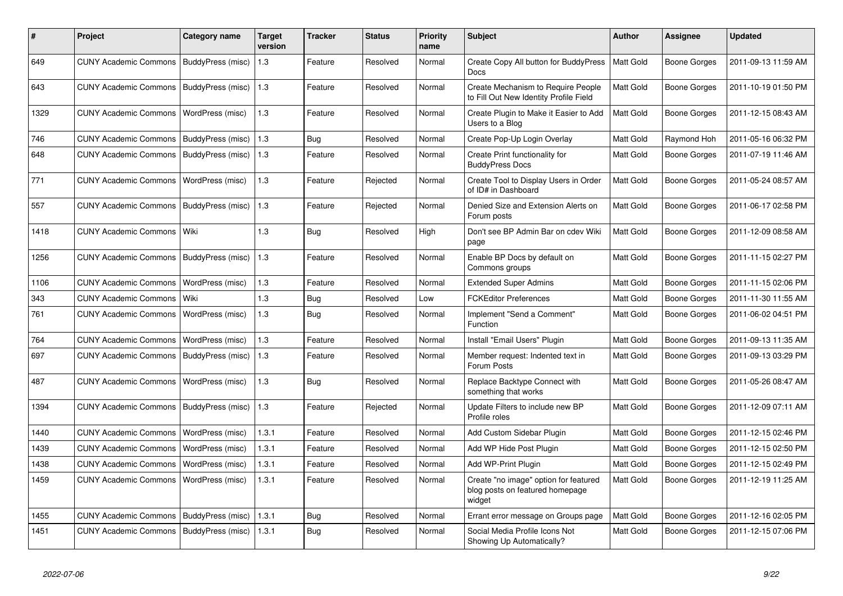| #    | <b>Project</b>               | Category name            | <b>Target</b><br>version | Tracker    | <b>Status</b> | <b>Priority</b><br>name | <b>Subject</b>                                                                     | <b>Author</b>    | Assignee            | <b>Updated</b>      |
|------|------------------------------|--------------------------|--------------------------|------------|---------------|-------------------------|------------------------------------------------------------------------------------|------------------|---------------------|---------------------|
| 649  | <b>CUNY Academic Commons</b> | BuddyPress (misc)        | 1.3                      | Feature    | Resolved      | Normal                  | Create Copy All button for BuddyPress<br><b>Docs</b>                               | <b>Matt Gold</b> | <b>Boone Gorges</b> | 2011-09-13 11:59 AM |
| 643  | <b>CUNY Academic Commons</b> | BuddyPress (misc)        | 1.3                      | Feature    | Resolved      | Normal                  | Create Mechanism to Require People<br>to Fill Out New Identity Profile Field       | Matt Gold        | <b>Boone Gorges</b> | 2011-10-19 01:50 PM |
| 1329 | <b>CUNY Academic Commons</b> | WordPress (misc)         | 1.3                      | Feature    | Resolved      | Normal                  | Create Plugin to Make it Easier to Add<br>Users to a Blog                          | Matt Gold        | Boone Gorges        | 2011-12-15 08:43 AM |
| 746  | <b>CUNY Academic Commons</b> | BuddyPress (misc)        | 1.3                      | Bug        | Resolved      | Normal                  | Create Pop-Up Login Overlay                                                        | Matt Gold        | Raymond Hoh         | 2011-05-16 06:32 PM |
| 648  | <b>CUNY Academic Commons</b> | BuddyPress (misc)        | 1.3                      | Feature    | Resolved      | Normal                  | Create Print functionality for<br><b>BuddyPress Docs</b>                           | Matt Gold        | <b>Boone Gorges</b> | 2011-07-19 11:46 AM |
| 771  | <b>CUNY Academic Commons</b> | WordPress (misc)         | 1.3                      | Feature    | Rejected      | Normal                  | Create Tool to Display Users in Order<br>of ID# in Dashboard                       | Matt Gold        | <b>Boone Gorges</b> | 2011-05-24 08:57 AM |
| 557  | <b>CUNY Academic Commons</b> | BuddyPress (misc)        | 1.3                      | Feature    | Rejected      | Normal                  | Denied Size and Extension Alerts on<br>Forum posts                                 | Matt Gold        | <b>Boone Gorges</b> | 2011-06-17 02:58 PM |
| 1418 | <b>CUNY Academic Commons</b> | Wiki                     | 1.3                      | <b>Bug</b> | Resolved      | High                    | Don't see BP Admin Bar on cdev Wiki<br>page                                        | Matt Gold        | <b>Boone Gorges</b> | 2011-12-09 08:58 AM |
| 1256 | <b>CUNY Academic Commons</b> | <b>BuddyPress (misc)</b> | 1.3                      | Feature    | Resolved      | Normal                  | Enable BP Docs by default on<br>Commons groups                                     | Matt Gold        | <b>Boone Gorges</b> | 2011-11-15 02:27 PM |
| 1106 | <b>CUNY Academic Commons</b> | WordPress (misc)         | 1.3                      | Feature    | Resolved      | Normal                  | <b>Extended Super Admins</b>                                                       | Matt Gold        | <b>Boone Gorges</b> | 2011-11-15 02:06 PM |
| 343  | <b>CUNY Academic Commons</b> | Wiki                     | 1.3                      | Bug        | Resolved      | Low                     | <b>FCKEditor Preferences</b>                                                       | Matt Gold        | <b>Boone Gorges</b> | 2011-11-30 11:55 AM |
| 761  | <b>CUNY Academic Commons</b> | WordPress (misc)         | 1.3                      | <b>Bug</b> | Resolved      | Normal                  | Implement "Send a Comment"<br>Function                                             | Matt Gold        | <b>Boone Gorges</b> | 2011-06-02 04:51 PM |
| 764  | <b>CUNY Academic Commons</b> | WordPress (misc)         | 1.3                      | Feature    | Resolved      | Normal                  | Install "Email Users" Plugin                                                       | Matt Gold        | <b>Boone Gorges</b> | 2011-09-13 11:35 AM |
| 697  | <b>CUNY Academic Commons</b> | BuddyPress (misc)        | 1.3                      | Feature    | Resolved      | Normal                  | Member request: Indented text in<br>Forum Posts                                    | Matt Gold        | <b>Boone Gorges</b> | 2011-09-13 03:29 PM |
| 487  | <b>CUNY Academic Commons</b> | WordPress (misc)         | 1.3                      | <b>Bug</b> | Resolved      | Normal                  | Replace Backtype Connect with<br>something that works                              | Matt Gold        | <b>Boone Gorges</b> | 2011-05-26 08:47 AM |
| 1394 | <b>CUNY Academic Commons</b> | BuddyPress (misc)        | 1.3                      | Feature    | Rejected      | Normal                  | Update Filters to include new BP<br>Profile roles                                  | Matt Gold        | <b>Boone Gorges</b> | 2011-12-09 07:11 AM |
| 1440 | <b>CUNY Academic Commons</b> | WordPress (misc)         | 1.3.1                    | Feature    | Resolved      | Normal                  | Add Custom Sidebar Plugin                                                          | Matt Gold        | <b>Boone Gorges</b> | 2011-12-15 02:46 PM |
| 1439 | <b>CUNY Academic Commons</b> | WordPress (misc)         | 1.3.1                    | Feature    | Resolved      | Normal                  | Add WP Hide Post Plugin                                                            | Matt Gold        | <b>Boone Gorges</b> | 2011-12-15 02:50 PM |
| 1438 | <b>CUNY Academic Commons</b> | WordPress (misc)         | 1.3.1                    | Feature    | Resolved      | Normal                  | Add WP-Print Plugin                                                                | Matt Gold        | <b>Boone Gorges</b> | 2011-12-15 02:49 PM |
| 1459 | <b>CUNY Academic Commons</b> | WordPress (misc)         | 1.3.1                    | Feature    | Resolved      | Normal                  | Create "no image" option for featured<br>blog posts on featured homepage<br>widget | Matt Gold        | <b>Boone Gorges</b> | 2011-12-19 11:25 AM |
| 1455 | <b>CUNY Academic Commons</b> | BuddyPress (misc)        | 1.3.1                    | Bug        | Resolved      | Normal                  | Errant error message on Groups page                                                | Matt Gold        | <b>Boone Gorges</b> | 2011-12-16 02:05 PM |
| 1451 | <b>CUNY Academic Commons</b> | BuddyPress (misc)        | 1.3.1                    | <b>Bug</b> | Resolved      | Normal                  | Social Media Profile Icons Not<br>Showing Up Automatically?                        | Matt Gold        | <b>Boone Gorges</b> | 2011-12-15 07:06 PM |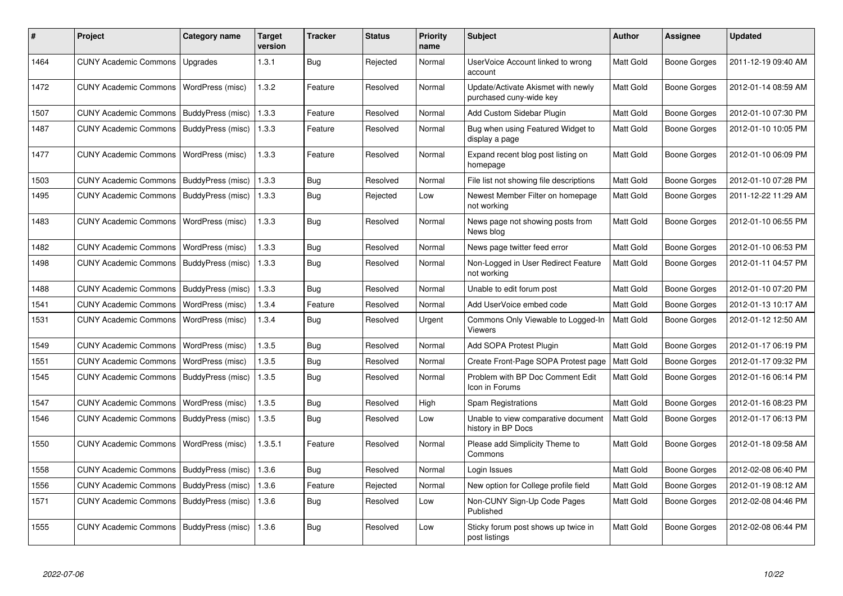| #    | <b>Project</b>                           | Category name            | <b>Target</b><br>version | <b>Tracker</b> | <b>Status</b> | Priority<br>name | <b>Subject</b>                                                | <b>Author</b> | Assignee            | <b>Updated</b>      |
|------|------------------------------------------|--------------------------|--------------------------|----------------|---------------|------------------|---------------------------------------------------------------|---------------|---------------------|---------------------|
| 1464 | <b>CUNY Academic Commons</b>             | Upgrades                 | 1.3.1                    | Bug            | Rejected      | Normal           | UserVoice Account linked to wrong<br>account                  | Matt Gold     | <b>Boone Gorges</b> | 2011-12-19 09:40 AM |
| 1472 | CUNY Academic Commons   WordPress (misc) |                          | 1.3.2                    | Feature        | Resolved      | Normal           | Update/Activate Akismet with newly<br>purchased cuny-wide key | Matt Gold     | Boone Gorges        | 2012-01-14 08:59 AM |
| 1507 | <b>CUNY Academic Commons</b>             | BuddyPress (misc)        | 1.3.3                    | Feature        | Resolved      | Normal           | Add Custom Sidebar Plugin                                     | Matt Gold     | <b>Boone Gorges</b> | 2012-01-10 07:30 PM |
| 1487 | <b>CUNY Academic Commons</b>             | BuddyPress (misc)        | 1.3.3                    | Feature        | Resolved      | Normal           | Bug when using Featured Widget to<br>display a page           | Matt Gold     | Boone Gorges        | 2012-01-10 10:05 PM |
| 1477 | <b>CUNY Academic Commons</b>             | WordPress (misc)         | 1.3.3                    | Feature        | Resolved      | Normal           | Expand recent blog post listing on<br>homepage                | Matt Gold     | Boone Gorges        | 2012-01-10 06:09 PM |
| 1503 | <b>CUNY Academic Commons</b>             | BuddyPress (misc)        | 1.3.3                    | Bug            | Resolved      | Normal           | File list not showing file descriptions                       | Matt Gold     | Boone Gorges        | 2012-01-10 07:28 PM |
| 1495 | <b>CUNY Academic Commons</b>             | BuddyPress (misc)        | 1.3.3                    | Bug            | Rejected      | Low              | Newest Member Filter on homepage<br>not working               | Matt Gold     | Boone Gorges        | 2011-12-22 11:29 AM |
| 1483 | <b>CUNY Academic Commons</b>             | WordPress (misc)         | 1.3.3                    | <b>Bug</b>     | Resolved      | Normal           | News page not showing posts from<br>News blog                 | Matt Gold     | <b>Boone Gorges</b> | 2012-01-10 06:55 PM |
| 1482 | <b>CUNY Academic Commons</b>             | WordPress (misc)         | 1.3.3                    | Bug            | Resolved      | Normal           | News page twitter feed error                                  | Matt Gold     | <b>Boone Gorges</b> | 2012-01-10 06:53 PM |
| 1498 | <b>CUNY Academic Commons</b>             | BuddyPress (misc)        | 1.3.3                    | Bug            | Resolved      | Normal           | Non-Logged in User Redirect Feature<br>not working            | Matt Gold     | Boone Gorges        | 2012-01-11 04:57 PM |
| 1488 | <b>CUNY Academic Commons</b>             | BuddyPress (misc)        | 1.3.3                    | Bug            | Resolved      | Normal           | Unable to edit forum post                                     | Matt Gold     | <b>Boone Gorges</b> | 2012-01-10 07:20 PM |
| 1541 | <b>CUNY Academic Commons</b>             | WordPress (misc)         | 1.3.4                    | Feature        | Resolved      | Normal           | Add UserVoice embed code                                      | Matt Gold     | Boone Gorges        | 2012-01-13 10:17 AM |
| 1531 | <b>CUNY Academic Commons</b>             | WordPress (misc)         | 1.3.4                    | Bug            | Resolved      | Urgent           | Commons Only Viewable to Logged-In<br>Viewers                 | Matt Gold     | <b>Boone Gorges</b> | 2012-01-12 12:50 AM |
| 1549 | <b>CUNY Academic Commons</b>             | WordPress (misc)         | 1.3.5                    | <b>Bug</b>     | Resolved      | Normal           | Add SOPA Protest Plugin                                       | Matt Gold     | <b>Boone Gorges</b> | 2012-01-17 06:19 PM |
| 1551 | <b>CUNY Academic Commons</b>             | WordPress (misc)         | 1.3.5                    | Bug            | Resolved      | Normal           | Create Front-Page SOPA Protest page                           | Matt Gold     | Boone Gorges        | 2012-01-17 09:32 PM |
| 1545 | <b>CUNY Academic Commons</b>             | BuddyPress (misc)        | 1.3.5                    | Bug            | Resolved      | Normal           | Problem with BP Doc Comment Edit<br>Icon in Forums            | Matt Gold     | Boone Gorges        | 2012-01-16 06:14 PM |
| 1547 | <b>CUNY Academic Commons</b>             | WordPress (misc)         | 1.3.5                    | Bug            | Resolved      | High             | <b>Spam Registrations</b>                                     | Matt Gold     | <b>Boone Gorges</b> | 2012-01-16 08:23 PM |
| 1546 | <b>CUNY Academic Commons</b>             | BuddyPress (misc)        | 1.3.5                    | Bug            | Resolved      | Low              | Unable to view comparative document<br>history in BP Docs     | Matt Gold     | Boone Gorges        | 2012-01-17 06:13 PM |
| 1550 | <b>CUNY Academic Commons</b>             | WordPress (misc)         | 1.3.5.1                  | Feature        | Resolved      | Normal           | Please add Simplicity Theme to<br>Commons                     | Matt Gold     | Boone Gorges        | 2012-01-18 09:58 AM |
| 1558 | <b>CUNY Academic Commons</b>             | BuddyPress (misc)        | 1.3.6                    | Bug            | Resolved      | Normal           | Login Issues                                                  | Matt Gold     | Boone Gorges        | 2012-02-08 06:40 PM |
| 1556 | <b>CUNY Academic Commons</b>             | BuddyPress (misc)        | 1.3.6                    | Feature        | Rejected      | Normal           | New option for College profile field                          | Matt Gold     | <b>Boone Gorges</b> | 2012-01-19 08:12 AM |
| 1571 | <b>CUNY Academic Commons</b>             | <b>BuddyPress (misc)</b> | 1.3.6                    | Bug            | Resolved      | Low              | Non-CUNY Sign-Up Code Pages<br>Published                      | Matt Gold     | Boone Gorges        | 2012-02-08 04:46 PM |
| 1555 | <b>CUNY Academic Commons</b>             | BuddyPress (misc)        | 1.3.6                    | Bug            | Resolved      | Low              | Sticky forum post shows up twice in<br>post listings          | Matt Gold     | <b>Boone Gorges</b> | 2012-02-08 06:44 PM |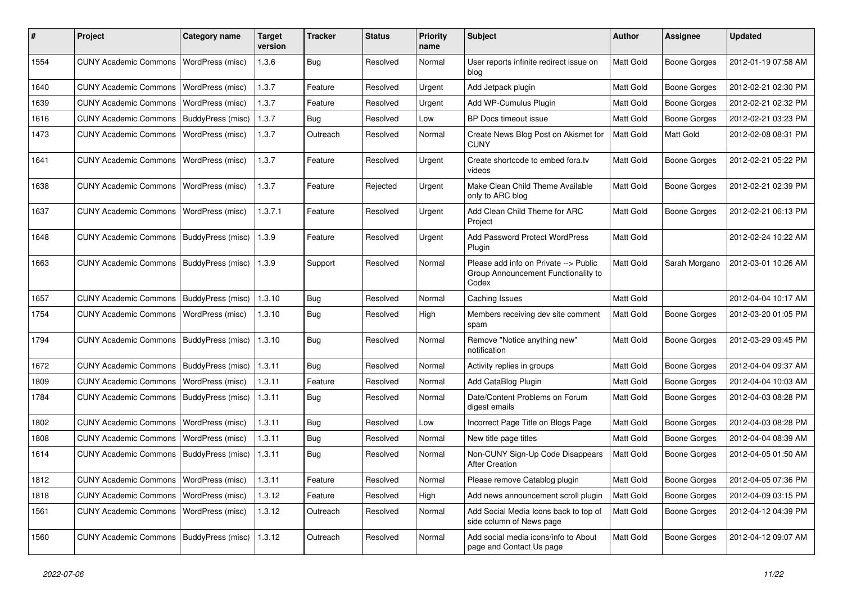| #    | Project                                   | <b>Category name</b> | <b>Target</b><br>version | Tracker    | <b>Status</b> | <b>Priority</b><br>name | <b>Subject</b>                                                                        | <b>Author</b> | <b>Assignee</b>     | <b>Updated</b>      |
|------|-------------------------------------------|----------------------|--------------------------|------------|---------------|-------------------------|---------------------------------------------------------------------------------------|---------------|---------------------|---------------------|
| 1554 | <b>CUNY Academic Commons</b>              | WordPress (misc)     | 1.3.6                    | <b>Bug</b> | Resolved      | Normal                  | User reports infinite redirect issue on<br>blog                                       | Matt Gold     | <b>Boone Gorges</b> | 2012-01-19 07:58 AM |
| 1640 | <b>CUNY Academic Commons</b>              | WordPress (misc)     | 1.3.7                    | Feature    | Resolved      | Urgent                  | Add Jetpack plugin                                                                    | Matt Gold     | <b>Boone Gorges</b> | 2012-02-21 02:30 PM |
| 1639 | <b>CUNY Academic Commons</b>              | WordPress (misc)     | 1.3.7                    | Feature    | Resolved      | Urgent                  | Add WP-Cumulus Plugin                                                                 | Matt Gold     | <b>Boone Gorges</b> | 2012-02-21 02:32 PM |
| 1616 | <b>CUNY Academic Commons</b>              | BuddyPress (misc)    | 1.3.7                    | Bug        | Resolved      | Low                     | BP Docs timeout issue                                                                 | Matt Gold     | <b>Boone Gorges</b> | 2012-02-21 03:23 PM |
| 1473 | <b>CUNY Academic Commons</b>              | WordPress (misc)     | 1.3.7                    | Outreach   | Resolved      | Normal                  | Create News Blog Post on Akismet for<br><b>CUNY</b>                                   | Matt Gold     | Matt Gold           | 2012-02-08 08:31 PM |
| 1641 | <b>CUNY Academic Commons</b>              | WordPress (misc)     | 1.3.7                    | Feature    | Resolved      | Urgent                  | Create shortcode to embed fora.tv<br>videos                                           | Matt Gold     | <b>Boone Gorges</b> | 2012-02-21 05:22 PM |
| 1638 | <b>CUNY Academic Commons</b>              | WordPress (misc)     | 1.3.7                    | Feature    | Rejected      | Urgent                  | Make Clean Child Theme Available<br>only to ARC blog                                  | Matt Gold     | <b>Boone Gorges</b> | 2012-02-21 02:39 PM |
| 1637 | <b>CUNY Academic Commons</b>              | WordPress (misc)     | 1.3.7.1                  | Feature    | Resolved      | Urgent                  | Add Clean Child Theme for ARC<br>Project                                              | Matt Gold     | Boone Gorges        | 2012-02-21 06:13 PM |
| 1648 | <b>CUNY Academic Commons</b>              | BuddyPress (misc)    | 1.3.9                    | Feature    | Resolved      | Urgent                  | Add Password Protect WordPress<br>Plugin                                              | Matt Gold     |                     | 2012-02-24 10:22 AM |
| 1663 | <b>CUNY Academic Commons</b>              | BuddyPress (misc)    | 1.3.9                    | Support    | Resolved      | Normal                  | Please add info on Private --> Public<br>Group Announcement Functionality to<br>Codex | Matt Gold     | Sarah Morgano       | 2012-03-01 10:26 AM |
| 1657 | <b>CUNY Academic Commons</b>              | BuddyPress (misc)    | 1.3.10                   | Bug        | Resolved      | Normal                  | Caching Issues                                                                        | Matt Gold     |                     | 2012-04-04 10:17 AM |
| 1754 | <b>CUNY Academic Commons</b>              | WordPress (misc)     | 1.3.10                   | Bug        | Resolved      | High                    | Members receiving dev site comment<br>spam                                            | Matt Gold     | <b>Boone Gorges</b> | 2012-03-20 01:05 PM |
| 1794 | <b>CUNY Academic Commons</b>              | BuddyPress (misc)    | 1.3.10                   | Bug        | Resolved      | Normal                  | Remove "Notice anything new"<br>notification                                          | Matt Gold     | <b>Boone Gorges</b> | 2012-03-29 09:45 PM |
| 1672 | <b>CUNY Academic Commons</b>              | BuddyPress (misc)    | 1.3.11                   | Bug        | Resolved      | Normal                  | Activity replies in groups                                                            | Matt Gold     | <b>Boone Gorges</b> | 2012-04-04 09:37 AM |
| 1809 | <b>CUNY Academic Commons</b>              | WordPress (misc)     | 1.3.11                   | Feature    | Resolved      | Normal                  | Add CataBlog Plugin                                                                   | Matt Gold     | <b>Boone Gorges</b> | 2012-04-04 10:03 AM |
| 1784 | <b>CUNY Academic Commons</b>              | BuddyPress (misc)    | 1.3.11                   | Bug        | Resolved      | Normal                  | Date/Content Problems on Forum<br>digest emails                                       | Matt Gold     | <b>Boone Gorges</b> | 2012-04-03 08:28 PM |
| 1802 | <b>CUNY Academic Commons</b>              | WordPress (misc)     | 1.3.11                   | Bug        | Resolved      | Low                     | Incorrect Page Title on Blogs Page                                                    | Matt Gold     | <b>Boone Gorges</b> | 2012-04-03 08:28 PM |
| 1808 | <b>CUNY Academic Commons</b>              | WordPress (misc)     | 1.3.11                   | Bug        | Resolved      | Normal                  | New title page titles                                                                 | Matt Gold     | <b>Boone Gorges</b> | 2012-04-04 08:39 AM |
| 1614 | <b>CUNY Academic Commons</b>              | BuddyPress (misc)    | 1.3.11                   | Bug        | Resolved      | Normal                  | Non-CUNY Sign-Up Code Disappears<br><b>After Creation</b>                             | Matt Gold     | <b>Boone Gorges</b> | 2012-04-05 01:50 AM |
| 1812 | CUNY Academic Commons   WordPress (misc)  |                      | 1.3.11                   | Feature    | Resolved      | Normal                  | Please remove Catablog plugin                                                         | Matt Gold     | <b>Boone Gorges</b> | 2012-04-05 07:36 PM |
| 1818 | <b>CUNY Academic Commons</b>              | WordPress (misc)     | 1.3.12                   | Feature    | Resolved      | High                    | Add news announcement scroll plugin                                                   | Matt Gold     | Boone Gorges        | 2012-04-09 03:15 PM |
| 1561 | <b>CUNY Academic Commons</b>              | WordPress (misc)     | 1.3.12                   | Outreach   | Resolved      | Normal                  | Add Social Media Icons back to top of<br>side column of News page                     | Matt Gold     | <b>Boone Gorges</b> | 2012-04-12 04:39 PM |
| 1560 | CUNY Academic Commons   BuddyPress (misc) |                      | 1.3.12                   | Outreach   | Resolved      | Normal                  | Add social media icons/info to About<br>page and Contact Us page                      | Matt Gold     | <b>Boone Gorges</b> | 2012-04-12 09:07 AM |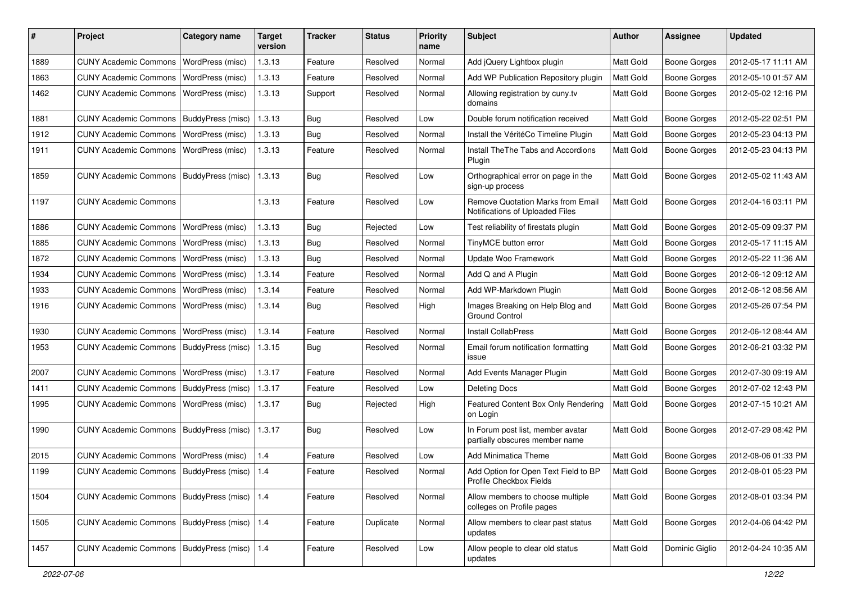| #    | Project                                         | Category name     | <b>Target</b><br>version | <b>Tracker</b> | <b>Status</b> | <b>Priority</b><br>name | <b>Subject</b>                                                       | Author           | <b>Assignee</b>     | <b>Updated</b>      |
|------|-------------------------------------------------|-------------------|--------------------------|----------------|---------------|-------------------------|----------------------------------------------------------------------|------------------|---------------------|---------------------|
| 1889 | <b>CUNY Academic Commons</b>                    | WordPress (misc)  | 1.3.13                   | Feature        | Resolved      | Normal                  | Add jQuery Lightbox plugin                                           | Matt Gold        | <b>Boone Gorges</b> | 2012-05-17 11:11 AM |
| 1863 | <b>CUNY Academic Commons</b>                    | WordPress (misc)  | 1.3.13                   | Feature        | Resolved      | Normal                  | Add WP Publication Repository plugin                                 | Matt Gold        | <b>Boone Gorges</b> | 2012-05-10 01:57 AM |
| 1462 | <b>CUNY Academic Commons</b>                    | WordPress (misc)  | 1.3.13                   | Support        | Resolved      | Normal                  | Allowing registration by cuny.tv<br>domains                          | Matt Gold        | <b>Boone Gorges</b> | 2012-05-02 12:16 PM |
| 1881 | <b>CUNY Academic Commons</b>                    | BuddyPress (misc) | 1.3.13                   | Bug            | Resolved      | Low                     | Double forum notification received                                   | Matt Gold        | <b>Boone Gorges</b> | 2012-05-22 02:51 PM |
| 1912 | <b>CUNY Academic Commons</b>                    | WordPress (misc)  | 1.3.13                   | Bug            | Resolved      | Normal                  | Install the VéritéCo Timeline Plugin                                 | Matt Gold        | Boone Gorges        | 2012-05-23 04:13 PM |
| 1911 | <b>CUNY Academic Commons</b>                    | WordPress (misc)  | 1.3.13                   | Feature        | Resolved      | Normal                  | Install The The Tabs and Accordions<br>Plugin                        | Matt Gold        | <b>Boone Gorges</b> | 2012-05-23 04:13 PM |
| 1859 | <b>CUNY Academic Commons</b>                    | BuddyPress (misc) | 1.3.13                   | Bug            | Resolved      | Low                     | Orthographical error on page in the<br>sign-up process               | Matt Gold        | <b>Boone Gorges</b> | 2012-05-02 11:43 AM |
| 1197 | <b>CUNY Academic Commons</b>                    |                   | 1.3.13                   | Feature        | Resolved      | Low                     | Remove Quotation Marks from Email<br>Notifications of Uploaded Files | Matt Gold        | Boone Gorges        | 2012-04-16 03:11 PM |
| 1886 | <b>CUNY Academic Commons</b>                    | WordPress (misc)  | 1.3.13                   | Bug            | Rejected      | Low                     | Test reliability of firestats plugin                                 | Matt Gold        | <b>Boone Gorges</b> | 2012-05-09 09:37 PM |
| 1885 | <b>CUNY Academic Commons</b>                    | WordPress (misc)  | 1.3.13                   | <b>Bug</b>     | Resolved      | Normal                  | TinyMCE button error                                                 | <b>Matt Gold</b> | <b>Boone Gorges</b> | 2012-05-17 11:15 AM |
| 1872 | <b>CUNY Academic Commons</b>                    | WordPress (misc)  | 1.3.13                   | Bug            | Resolved      | Normal                  | Update Woo Framework                                                 | Matt Gold        | <b>Boone Gorges</b> | 2012-05-22 11:36 AM |
| 1934 | <b>CUNY Academic Commons</b>                    | WordPress (misc)  | 1.3.14                   | Feature        | Resolved      | Normal                  | Add Q and A Plugin                                                   | <b>Matt Gold</b> | <b>Boone Gorges</b> | 2012-06-12 09:12 AM |
| 1933 | <b>CUNY Academic Commons</b>                    | WordPress (misc)  | 1.3.14                   | Feature        | Resolved      | Normal                  | Add WP-Markdown Plugin                                               | Matt Gold        | <b>Boone Gorges</b> | 2012-06-12 08:56 AM |
| 1916 | <b>CUNY Academic Commons</b>                    | WordPress (misc)  | 1.3.14                   | Bug            | Resolved      | High                    | Images Breaking on Help Blog and<br><b>Ground Control</b>            | <b>Matt Gold</b> | <b>Boone Gorges</b> | 2012-05-26 07:54 PM |
| 1930 | <b>CUNY Academic Commons</b>                    | WordPress (misc)  | 1.3.14                   | Feature        | Resolved      | Normal                  | <b>Install CollabPress</b>                                           | Matt Gold        | <b>Boone Gorges</b> | 2012-06-12 08:44 AM |
| 1953 | <b>CUNY Academic Commons</b>                    | BuddyPress (misc) | 1.3.15                   | Bug            | Resolved      | Normal                  | Email forum notification formatting<br>issue                         | Matt Gold        | Boone Gorges        | 2012-06-21 03:32 PM |
| 2007 | <b>CUNY Academic Commons</b>                    | WordPress (misc)  | 1.3.17                   | Feature        | Resolved      | Normal                  | Add Events Manager Plugin                                            | Matt Gold        | <b>Boone Gorges</b> | 2012-07-30 09:19 AM |
| 1411 | <b>CUNY Academic Commons</b>                    | BuddyPress (misc) | 1.3.17                   | Feature        | Resolved      | Low                     | Deleting Docs                                                        | <b>Matt Gold</b> | <b>Boone Gorges</b> | 2012-07-02 12:43 PM |
| 1995 | <b>CUNY Academic Commons</b>                    | WordPress (misc)  | 1.3.17                   | Bug            | Rejected      | High                    | Featured Content Box Only Rendering<br>on Login                      | Matt Gold        | <b>Boone Gorges</b> | 2012-07-15 10:21 AM |
| 1990 | <b>CUNY Academic Commons</b>                    | BuddyPress (misc) | 1.3.17                   | Bug            | Resolved      | Low                     | In Forum post list, member avatar<br>partially obscures member name  | Matt Gold        | Boone Gorges        | 2012-07-29 08:42 PM |
| 2015 | <b>CUNY Academic Commons</b>                    | WordPress (misc)  | 1.4                      | Feature        | Resolved      | Low                     | <b>Add Minimatica Theme</b>                                          | Matt Gold        | <b>Boone Gorges</b> | 2012-08-06 01:33 PM |
| 1199 | CUNY Academic Commons   BuddyPress (misc)   1.4 |                   |                          | Feature        | Resolved      | Normal                  | Add Option for Open Text Field to BP<br>Profile Checkbox Fields      | <b>Matt Gold</b> | <b>Boone Gorges</b> | 2012-08-01 05:23 PM |
| 1504 | <b>CUNY Academic Commons</b>                    | BuddyPress (misc) | 1.4                      | Feature        | Resolved      | Normal                  | Allow members to choose multiple<br>colleges on Profile pages        | Matt Gold        | Boone Gorges        | 2012-08-01 03:34 PM |
| 1505 | CUNY Academic Commons   BuddyPress (misc)       |                   | 1.4                      | Feature        | Duplicate     | Normal                  | Allow members to clear past status<br>updates                        | Matt Gold        | Boone Gorges        | 2012-04-06 04:42 PM |
| 1457 | CUNY Academic Commons   BuddyPress (misc)   1.4 |                   |                          | Feature        | Resolved      | Low                     | Allow people to clear old status<br>updates                          | Matt Gold        | Dominic Giglio      | 2012-04-24 10:35 AM |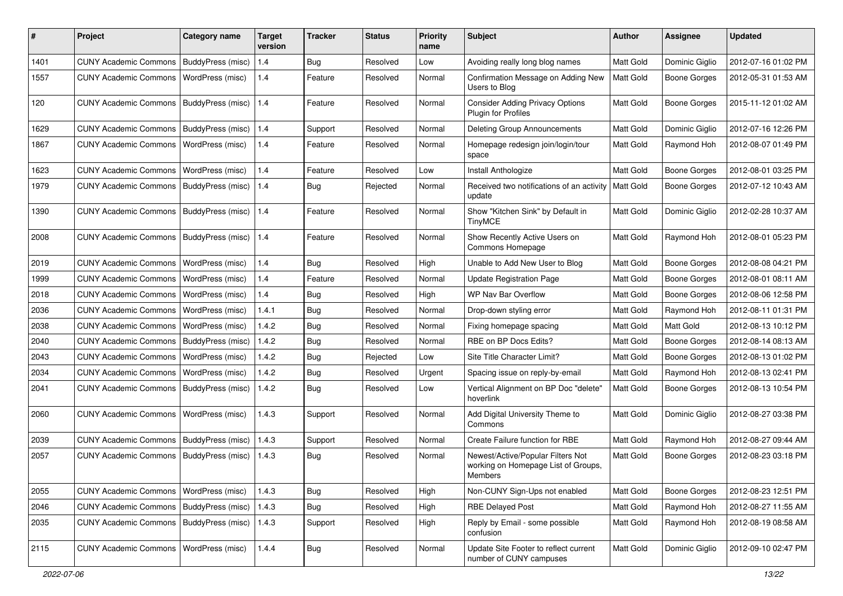| #    | Project                                   | <b>Category name</b>     | <b>Target</b><br>version | <b>Tracker</b> | <b>Status</b> | <b>Priority</b><br>name | <b>Subject</b>                                                                      | Author    | Assignee            | <b>Updated</b>      |
|------|-------------------------------------------|--------------------------|--------------------------|----------------|---------------|-------------------------|-------------------------------------------------------------------------------------|-----------|---------------------|---------------------|
| 1401 | <b>CUNY Academic Commons</b>              | BuddyPress (misc)        | 1.4                      | <b>Bug</b>     | Resolved      | Low                     | Avoiding really long blog names                                                     | Matt Gold | Dominic Giglio      | 2012-07-16 01:02 PM |
| 1557 | <b>CUNY Academic Commons</b>              | WordPress (misc)         | 1.4                      | Feature        | Resolved      | Normal                  | Confirmation Message on Adding New<br>Users to Blog                                 | Matt Gold | Boone Gorges        | 2012-05-31 01:53 AM |
| 120  | <b>CUNY Academic Commons</b>              | <b>BuddyPress (misc)</b> | 1.4                      | Feature        | Resolved      | Normal                  | <b>Consider Adding Privacy Options</b><br>Plugin for Profiles                       | Matt Gold | <b>Boone Gorges</b> | 2015-11-12 01:02 AM |
| 1629 | <b>CUNY Academic Commons</b>              | BuddyPress (misc)        | 1.4                      | Support        | Resolved      | Normal                  | Deleting Group Announcements                                                        | Matt Gold | Dominic Giglio      | 2012-07-16 12:26 PM |
| 1867 | <b>CUNY Academic Commons</b>              | WordPress (misc)         | 1.4                      | Feature        | Resolved      | Normal                  | Homepage redesign join/login/tour<br>space                                          | Matt Gold | Raymond Hoh         | 2012-08-07 01:49 PM |
| 1623 | <b>CUNY Academic Commons</b>              | WordPress (misc)         | 1.4                      | Feature        | Resolved      | Low                     | Install Anthologize                                                                 | Matt Gold | <b>Boone Gorges</b> | 2012-08-01 03:25 PM |
| 1979 | <b>CUNY Academic Commons</b>              | BuddyPress (misc)        | 1.4                      | Bug            | Rejected      | Normal                  | Received two notifications of an activity<br>update                                 | Matt Gold | <b>Boone Gorges</b> | 2012-07-12 10:43 AM |
| 1390 | <b>CUNY Academic Commons</b>              | BuddyPress (misc)        | 1.4                      | Feature        | Resolved      | Normal                  | Show "Kitchen Sink" by Default in<br><b>TinyMCE</b>                                 | Matt Gold | Dominic Giglio      | 2012-02-28 10:37 AM |
| 2008 | <b>CUNY Academic Commons</b>              | BuddyPress (misc)        | $1.4$                    | Feature        | Resolved      | Normal                  | Show Recently Active Users on<br>Commons Homepage                                   | Matt Gold | Raymond Hoh         | 2012-08-01 05:23 PM |
| 2019 | <b>CUNY Academic Commons</b>              | WordPress (misc)         | 1.4                      | Bug            | Resolved      | High                    | Unable to Add New User to Blog                                                      | Matt Gold | <b>Boone Gorges</b> | 2012-08-08 04:21 PM |
| 1999 | <b>CUNY Academic Commons</b>              | WordPress (misc)         | 1.4                      | Feature        | Resolved      | Normal                  | <b>Update Registration Page</b>                                                     | Matt Gold | <b>Boone Gorges</b> | 2012-08-01 08:11 AM |
| 2018 | <b>CUNY Academic Commons</b>              | WordPress (misc)         | 1.4                      | Bug            | Resolved      | High                    | <b>WP Nav Bar Overflow</b>                                                          | Matt Gold | Boone Gorges        | 2012-08-06 12:58 PM |
| 2036 | <b>CUNY Academic Commons</b>              | WordPress (misc)         | 1.4.1                    | <b>Bug</b>     | Resolved      | Normal                  | Drop-down styling error                                                             | Matt Gold | Raymond Hoh         | 2012-08-11 01:31 PM |
| 2038 | <b>CUNY Academic Commons</b>              | WordPress (misc)         | 1.4.2                    | Bug            | Resolved      | Normal                  | Fixing homepage spacing                                                             | Matt Gold | Matt Gold           | 2012-08-13 10:12 PM |
| 2040 | <b>CUNY Academic Commons</b>              | BuddyPress (misc)        | 1.4.2                    | Bug            | Resolved      | Normal                  | RBE on BP Docs Edits?                                                               | Matt Gold | <b>Boone Gorges</b> | 2012-08-14 08:13 AM |
| 2043 | <b>CUNY Academic Commons</b>              | <b>WordPress (misc)</b>  | 1.4.2                    | Bug            | Rejected      | Low                     | Site Title Character Limit?                                                         | Matt Gold | Boone Gorges        | 2012-08-13 01:02 PM |
| 2034 | <b>CUNY Academic Commons</b>              | WordPress (misc)         | 1.4.2                    | <b>Bug</b>     | Resolved      | Urgent                  | Spacing issue on reply-by-email                                                     | Matt Gold | Raymond Hoh         | 2012-08-13 02:41 PM |
| 2041 | <b>CUNY Academic Commons</b>              | BuddyPress (misc)        | 1.4.2                    | Bug            | Resolved      | Low                     | Vertical Alignment on BP Doc "delete"<br>hoverlink                                  | Matt Gold | Boone Gorges        | 2012-08-13 10:54 PM |
| 2060 | <b>CUNY Academic Commons</b>              | WordPress (misc)         | 1.4.3                    | Support        | Resolved      | Normal                  | Add Digital University Theme to<br>Commons                                          | Matt Gold | Dominic Giglio      | 2012-08-27 03:38 PM |
| 2039 | <b>CUNY Academic Commons</b>              | BuddyPress (misc)        | 1.4.3                    | Support        | Resolved      | Normal                  | Create Failure function for RBE                                                     | Matt Gold | Raymond Hoh         | 2012-08-27 09:44 AM |
| 2057 | <b>CUNY Academic Commons</b>              | BuddyPress (misc)        | 1.4.3                    | Bug            | Resolved      | Normal                  | Newest/Active/Popular Filters Not<br>working on Homepage List of Groups,<br>Members | Matt Gold | <b>Boone Gorges</b> | 2012-08-23 03:18 PM |
| 2055 | <b>CUNY Academic Commons</b>              | WordPress (misc)         | 1.4.3                    | Bug            | Resolved      | High                    | Non-CUNY Sign-Ups not enabled                                                       | Matt Gold | <b>Boone Gorges</b> | 2012-08-23 12:51 PM |
| 2046 | CUNY Academic Commons   BuddyPress (misc) |                          | 1.4.3                    | Bug            | Resolved      | High                    | <b>RBE Delayed Post</b>                                                             | Matt Gold | Raymond Hoh         | 2012-08-27 11:55 AM |
| 2035 | <b>CUNY Academic Commons</b>              | BuddyPress (misc)        | 1.4.3                    | Support        | Resolved      | High                    | Reply by Email - some possible<br>confusion                                         | Matt Gold | Raymond Hoh         | 2012-08-19 08:58 AM |
| 2115 | CUNY Academic Commons   WordPress (misc)  |                          | 1.4.4                    | Bug            | Resolved      | Normal                  | Update Site Footer to reflect current<br>number of CUNY campuses                    | Matt Gold | Dominic Giglio      | 2012-09-10 02:47 PM |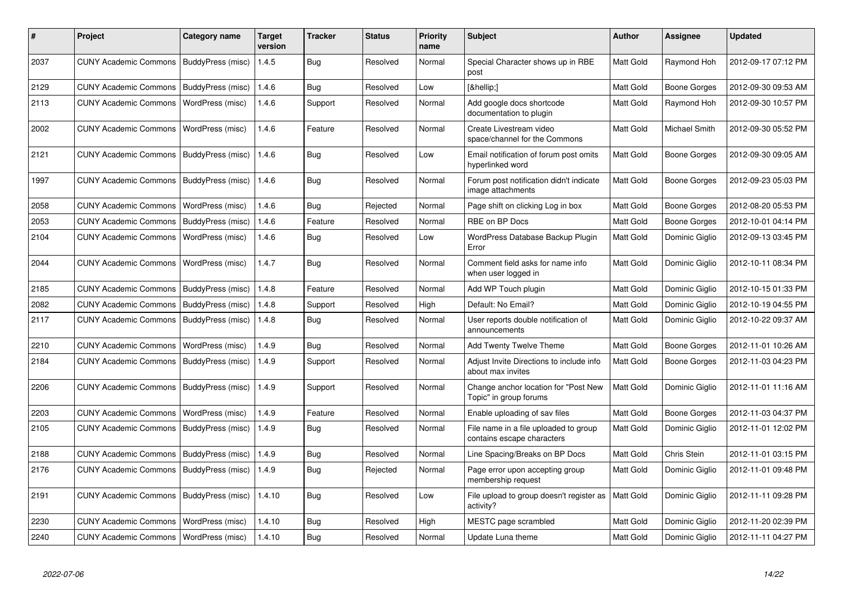| #    | <b>Project</b>                            | Category name            | <b>Target</b><br>version | <b>Tracker</b> | <b>Status</b> | <b>Priority</b><br>name | <b>Subject</b>                                                      | Author           | Assignee            | <b>Updated</b>      |
|------|-------------------------------------------|--------------------------|--------------------------|----------------|---------------|-------------------------|---------------------------------------------------------------------|------------------|---------------------|---------------------|
| 2037 | CUNY Academic Commons   BuddyPress (misc) |                          | 1.4.5                    | <b>Bug</b>     | Resolved      | Normal                  | Special Character shows up in RBE<br>post                           | Matt Gold        | Raymond Hoh         | 2012-09-17 07:12 PM |
| 2129 | <b>CUNY Academic Commons</b>              | BuddyPress (misc)        | 1.4.6                    | Bug            | Resolved      | Low                     | […]                                                                 | Matt Gold        | Boone Gorges        | 2012-09-30 09:53 AM |
| 2113 | <b>CUNY Academic Commons</b>              | WordPress (misc)         | 1.4.6                    | Support        | Resolved      | Normal                  | Add google docs shortcode<br>documentation to plugin                | Matt Gold        | Raymond Hoh         | 2012-09-30 10:57 PM |
| 2002 | <b>CUNY Academic Commons</b>              | WordPress (misc)         | 1.4.6                    | Feature        | Resolved      | Normal                  | Create Livestream video<br>space/channel for the Commons            | Matt Gold        | Michael Smith       | 2012-09-30 05:52 PM |
| 2121 | <b>CUNY Academic Commons</b>              | BuddyPress (misc)        | 1.4.6                    | Bug            | Resolved      | Low                     | Email notification of forum post omits<br>hyperlinked word          | Matt Gold        | Boone Gorges        | 2012-09-30 09:05 AM |
| 1997 | <b>CUNY Academic Commons</b>              | <b>BuddyPress (misc)</b> | 1.4.6                    | Bug            | Resolved      | Normal                  | Forum post notification didn't indicate<br>image attachments        | Matt Gold        | Boone Gorges        | 2012-09-23 05:03 PM |
| 2058 | <b>CUNY Academic Commons</b>              | WordPress (misc)         | 1.4.6                    | Bug            | Rejected      | Normal                  | Page shift on clicking Log in box                                   | Matt Gold        | <b>Boone Gorges</b> | 2012-08-20 05:53 PM |
| 2053 | <b>CUNY Academic Commons</b>              | BuddyPress (misc)        | 1.4.6                    | Feature        | Resolved      | Normal                  | RBE on BP Docs                                                      | Matt Gold        | Boone Gorges        | 2012-10-01 04:14 PM |
| 2104 | <b>CUNY Academic Commons</b>              | WordPress (misc)         | 1.4.6                    | Bug            | Resolved      | Low                     | WordPress Database Backup Plugin<br>Error                           | Matt Gold        | Dominic Giglio      | 2012-09-13 03:45 PM |
| 2044 | <b>CUNY Academic Commons</b>              | WordPress (misc)         | 1.4.7                    | Bug            | Resolved      | Normal                  | Comment field asks for name info<br>when user logged in             | Matt Gold        | Dominic Giglio      | 2012-10-11 08:34 PM |
| 2185 | <b>CUNY Academic Commons</b>              | BuddyPress (misc)        | 1.4.8                    | Feature        | Resolved      | Normal                  | Add WP Touch plugin                                                 | Matt Gold        | Dominic Giglio      | 2012-10-15 01:33 PM |
| 2082 | <b>CUNY Academic Commons</b>              | BuddyPress (misc)        | 1.4.8                    | Support        | Resolved      | High                    | Default: No Email?                                                  | Matt Gold        | Dominic Giglio      | 2012-10-19 04:55 PM |
| 2117 | <b>CUNY Academic Commons</b>              | BuddyPress (misc)        | 1.4.8                    | Bug            | Resolved      | Normal                  | User reports double notification of<br>announcements                | Matt Gold        | Dominic Giglio      | 2012-10-22 09:37 AM |
| 2210 | <b>CUNY Academic Commons</b>              | WordPress (misc)         | 1.4.9                    | Bug            | Resolved      | Normal                  | <b>Add Twenty Twelve Theme</b>                                      | Matt Gold        | Boone Gorges        | 2012-11-01 10:26 AM |
| 2184 | <b>CUNY Academic Commons</b>              | BuddyPress (misc)        | 1.4.9                    | Support        | Resolved      | Normal                  | Adjust Invite Directions to include info<br>about max invites       | Matt Gold        | Boone Gorges        | 2012-11-03 04:23 PM |
| 2206 | <b>CUNY Academic Commons</b>              | BuddyPress (misc)        | 1.4.9                    | Support        | Resolved      | Normal                  | Change anchor location for "Post New<br>Topic" in group forums      | Matt Gold        | Dominic Giglio      | 2012-11-01 11:16 AM |
| 2203 | <b>CUNY Academic Commons</b>              | WordPress (misc)         | 1.4.9                    | Feature        | Resolved      | Normal                  | Enable uploading of sav files                                       | Matt Gold        | Boone Gorges        | 2012-11-03 04:37 PM |
| 2105 | <b>CUNY Academic Commons</b>              | BuddyPress (misc)        | 1.4.9                    | <b>Bug</b>     | Resolved      | Normal                  | File name in a file uploaded to group<br>contains escape characters | Matt Gold        | Dominic Giglio      | 2012-11-01 12:02 PM |
| 2188 | <b>CUNY Academic Commons</b>              | BuddyPress (misc)        | 1.4.9                    | <b>Bug</b>     | Resolved      | Normal                  | Line Spacing/Breaks on BP Docs                                      | Matt Gold        | Chris Stein         | 2012-11-01 03:15 PM |
| 2176 | <b>CUNY Academic Commons</b>              | BuddyPress (misc)        | 1.4.9                    | Bug            | Rejected      | Normal                  | Page error upon accepting group<br>membership request               | Matt Gold        | Dominic Giglio      | 2012-11-01 09:48 PM |
| 2191 | CUNY Academic Commons                     | BuddyPress (misc)        | 1.4.10                   | Bug            | Resolved      | Low                     | File upload to group doesn't register as<br>activity?               | <b>Matt Gold</b> | Dominic Giglio      | 2012-11-11 09:28 PM |
| 2230 | <b>CUNY Academic Commons</b>              | WordPress (misc)         | 1.4.10                   | <b>Bug</b>     | Resolved      | High                    | MESTC page scrambled                                                | Matt Gold        | Dominic Giglio      | 2012-11-20 02:39 PM |
| 2240 | CUNY Academic Commons   WordPress (misc)  |                          | 1.4.10                   | <b>Bug</b>     | Resolved      | Normal                  | Update Luna theme                                                   | Matt Gold        | Dominic Giglio      | 2012-11-11 04:27 PM |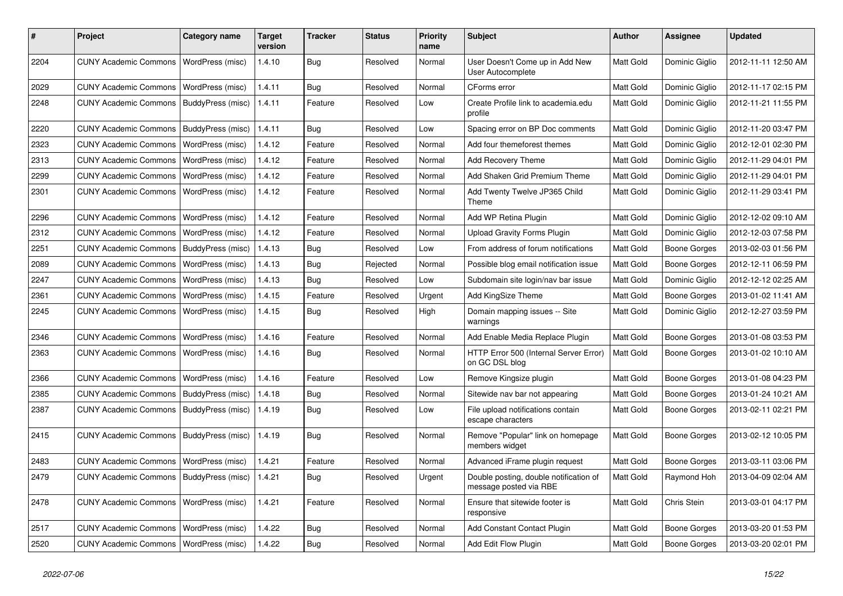| #    | Project                                            | <b>Category name</b>    | <b>Target</b><br>version | <b>Tracker</b> | <b>Status</b> | <b>Priority</b><br>name | Subject                                                          | <b>Author</b>    | <b>Assignee</b>     | <b>Updated</b>      |
|------|----------------------------------------------------|-------------------------|--------------------------|----------------|---------------|-------------------------|------------------------------------------------------------------|------------------|---------------------|---------------------|
| 2204 | <b>CUNY Academic Commons</b>                       | WordPress (misc)        | 1.4.10                   | Bug            | Resolved      | Normal                  | User Doesn't Come up in Add New<br>User Autocomplete             | Matt Gold        | Dominic Giglio      | 2012-11-11 12:50 AM |
| 2029 | <b>CUNY Academic Commons</b>                       | <b>WordPress (misc)</b> | 1.4.11                   | Bug            | Resolved      | Normal                  | CForms error                                                     | Matt Gold        | Dominic Giglio      | 2012-11-17 02:15 PM |
| 2248 | <b>CUNY Academic Commons</b>                       | BuddyPress (misc)       | 1.4.11                   | Feature        | Resolved      | Low                     | Create Profile link to academia.edu<br>profile                   | Matt Gold        | Dominic Giglio      | 2012-11-21 11:55 PM |
| 2220 | <b>CUNY Academic Commons</b>                       | BuddyPress (misc)       | 1.4.11                   | Bug            | Resolved      | Low                     | Spacing error on BP Doc comments                                 | Matt Gold        | Dominic Giglio      | 2012-11-20 03:47 PM |
| 2323 | <b>CUNY Academic Commons</b>                       | WordPress (misc)        | 1.4.12                   | Feature        | Resolved      | Normal                  | Add four themeforest themes                                      | Matt Gold        | Dominic Giglio      | 2012-12-01 02:30 PM |
| 2313 | <b>CUNY Academic Commons</b>                       | WordPress (misc)        | 1.4.12                   | Feature        | Resolved      | Normal                  | Add Recovery Theme                                               | Matt Gold        | Dominic Giglio      | 2012-11-29 04:01 PM |
| 2299 | <b>CUNY Academic Commons</b>                       | WordPress (misc)        | 1.4.12                   | Feature        | Resolved      | Normal                  | Add Shaken Grid Premium Theme                                    | Matt Gold        | Dominic Giglio      | 2012-11-29 04:01 PM |
| 2301 | <b>CUNY Academic Commons</b>                       | WordPress (misc)        | 1.4.12                   | Feature        | Resolved      | Normal                  | Add Twenty Twelve JP365 Child<br>Theme                           | <b>Matt Gold</b> | Dominic Giglio      | 2012-11-29 03:41 PM |
| 2296 | <b>CUNY Academic Commons</b>                       | <b>WordPress (misc)</b> | 1.4.12                   | Feature        | Resolved      | Normal                  | Add WP Retina Plugin                                             | Matt Gold        | Dominic Giglio      | 2012-12-02 09:10 AM |
| 2312 | <b>CUNY Academic Commons</b>                       | WordPress (misc)        | 1.4.12                   | Feature        | Resolved      | Normal                  | <b>Upload Gravity Forms Plugin</b>                               | Matt Gold        | Dominic Giglio      | 2012-12-03 07:58 PM |
| 2251 | <b>CUNY Academic Commons</b>                       | BuddyPress (misc)       | 1.4.13                   | Bug            | Resolved      | Low                     | From address of forum notifications                              | Matt Gold        | <b>Boone Gorges</b> | 2013-02-03 01:56 PM |
| 2089 | <b>CUNY Academic Commons</b>                       | WordPress (misc)        | 1.4.13                   | <b>Bug</b>     | Rejected      | Normal                  | Possible blog email notification issue                           | Matt Gold        | <b>Boone Gorges</b> | 2012-12-11 06:59 PM |
| 2247 | <b>CUNY Academic Commons</b>                       | WordPress (misc)        | 1.4.13                   | <b>Bug</b>     | Resolved      | Low                     | Subdomain site login/nav bar issue                               | Matt Gold        | Dominic Giglio      | 2012-12-12 02:25 AM |
| 2361 | <b>CUNY Academic Commons</b>                       | <b>WordPress (misc)</b> | 1.4.15                   | Feature        | Resolved      | Urgent                  | Add KingSize Theme                                               | Matt Gold        | <b>Boone Gorges</b> | 2013-01-02 11:41 AM |
| 2245 | <b>CUNY Academic Commons</b>                       | WordPress (misc)        | 1.4.15                   | Bug            | Resolved      | High                    | Domain mapping issues -- Site<br>warnings                        | Matt Gold        | Dominic Giglio      | 2012-12-27 03:59 PM |
| 2346 | <b>CUNY Academic Commons</b>                       | <b>WordPress (misc)</b> | 1.4.16                   | Feature        | Resolved      | Normal                  | Add Enable Media Replace Plugin                                  | Matt Gold        | <b>Boone Gorges</b> | 2013-01-08 03:53 PM |
| 2363 | <b>CUNY Academic Commons</b>                       | WordPress (misc)        | 1.4.16                   | Bug            | Resolved      | Normal                  | HTTP Error 500 (Internal Server Error)<br>on GC DSL blog         | Matt Gold        | <b>Boone Gorges</b> | 2013-01-02 10:10 AM |
| 2366 | <b>CUNY Academic Commons</b>                       | WordPress (misc)        | 1.4.16                   | Feature        | Resolved      | Low                     | Remove Kingsize plugin                                           | Matt Gold        | <b>Boone Gorges</b> | 2013-01-08 04:23 PM |
| 2385 | <b>CUNY Academic Commons</b>                       | BuddyPress (misc)       | 1.4.18                   | Bug            | Resolved      | Normal                  | Sitewide nav bar not appearing                                   | Matt Gold        | <b>Boone Gorges</b> | 2013-01-24 10:21 AM |
| 2387 | <b>CUNY Academic Commons</b>                       | BuddyPress (misc)       | 1.4.19                   | <b>Bug</b>     | Resolved      | Low                     | File upload notifications contain<br>escape characters           | Matt Gold        | Boone Gorges        | 2013-02-11 02:21 PM |
| 2415 | <b>CUNY Academic Commons</b>                       | BuddyPress (misc)       | 1.4.19                   | Bug            | Resolved      | Normal                  | Remove "Popular" link on homepage<br>members widget              | Matt Gold        | Boone Gorges        | 2013-02-12 10:05 PM |
| 2483 | <b>CUNY Academic Commons</b>                       | WordPress (misc)        | 1.4.21                   | Feature        | Resolved      | Normal                  | Advanced iFrame plugin request                                   | Matt Gold        | Boone Gorges        | 2013-03-11 03:06 PM |
| 2479 | CUNY Academic Commons   BuddyPress (misc)   1.4.21 |                         |                          | Bug            | Resolved      | Urgent                  | Double posting, double notification of<br>message posted via RBE | Matt Gold        | Raymond Hoh         | 2013-04-09 02:04 AM |
| 2478 | CUNY Academic Commons   WordPress (misc)           |                         | 1.4.21                   | Feature        | Resolved      | Normal                  | Ensure that sitewide footer is<br>responsive                     | Matt Gold        | Chris Stein         | 2013-03-01 04:17 PM |
| 2517 | CUNY Academic Commons   WordPress (misc)           |                         | 1.4.22                   | Bug            | Resolved      | Normal                  | Add Constant Contact Plugin                                      | Matt Gold        | Boone Gorges        | 2013-03-20 01:53 PM |
| 2520 | CUNY Academic Commons   WordPress (misc)           |                         | 1.4.22                   | Bug            | Resolved      | Normal                  | Add Edit Flow Plugin                                             | Matt Gold        | <b>Boone Gorges</b> | 2013-03-20 02:01 PM |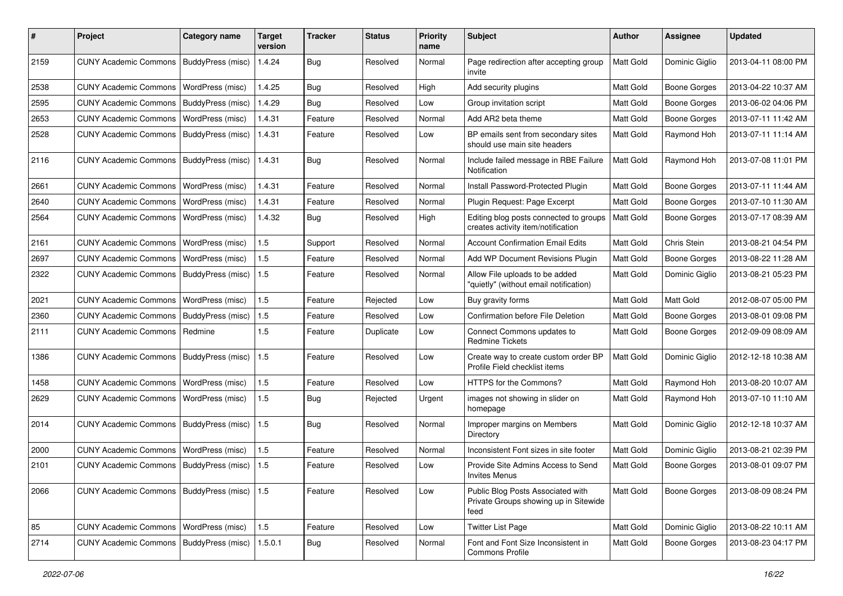| #    | Project                                   | <b>Category name</b>    | <b>Target</b><br>version | <b>Tracker</b> | <b>Status</b> | <b>Priority</b><br>name | <b>Subject</b>                                                                     | <b>Author</b> | <b>Assignee</b>     | <b>Updated</b>      |
|------|-------------------------------------------|-------------------------|--------------------------|----------------|---------------|-------------------------|------------------------------------------------------------------------------------|---------------|---------------------|---------------------|
| 2159 | <b>CUNY Academic Commons</b>              | BuddyPress (misc)       | 1.4.24                   | <b>Bug</b>     | Resolved      | Normal                  | Page redirection after accepting group<br>invite                                   | Matt Gold     | Dominic Giglio      | 2013-04-11 08:00 PM |
| 2538 | <b>CUNY Academic Commons</b>              | WordPress (misc)        | 1.4.25                   | Bug            | Resolved      | High                    | Add security plugins                                                               | Matt Gold     | <b>Boone Gorges</b> | 2013-04-22 10:37 AM |
| 2595 | <b>CUNY Academic Commons</b>              | BuddyPress (misc)       | 1.4.29                   | Bug            | Resolved      | Low                     | Group invitation script                                                            | Matt Gold     | <b>Boone Gorges</b> | 2013-06-02 04:06 PM |
| 2653 | <b>CUNY Academic Commons</b>              | WordPress (misc)        | 1.4.31                   | Feature        | Resolved      | Normal                  | Add AR2 beta theme                                                                 | Matt Gold     | <b>Boone Gorges</b> | 2013-07-11 11:42 AM |
| 2528 | <b>CUNY Academic Commons</b>              | BuddyPress (misc)       | 1.4.31                   | Feature        | Resolved      | Low                     | BP emails sent from secondary sites<br>should use main site headers                | Matt Gold     | Raymond Hoh         | 2013-07-11 11:14 AM |
| 2116 | <b>CUNY Academic Commons</b>              | BuddyPress (misc)       | 1.4.31                   | Bug            | Resolved      | Normal                  | Include failed message in RBE Failure<br>Notification                              | Matt Gold     | Raymond Hoh         | 2013-07-08 11:01 PM |
| 2661 | <b>CUNY Academic Commons</b>              | WordPress (misc)        | 1.4.31                   | Feature        | Resolved      | Normal                  | Install Password-Protected Plugin                                                  | Matt Gold     | <b>Boone Gorges</b> | 2013-07-11 11:44 AM |
| 2640 | <b>CUNY Academic Commons</b>              | WordPress (misc)        | 1.4.31                   | Feature        | Resolved      | Normal                  | Plugin Request: Page Excerpt                                                       | Matt Gold     | <b>Boone Gorges</b> | 2013-07-10 11:30 AM |
| 2564 | <b>CUNY Academic Commons</b>              | WordPress (misc)        | 1.4.32                   | Bug            | Resolved      | High                    | Editing blog posts connected to groups<br>creates activity item/notification       | Matt Gold     | <b>Boone Gorges</b> | 2013-07-17 08:39 AM |
| 2161 | <b>CUNY Academic Commons</b>              | WordPress (misc)        | 1.5                      | Support        | Resolved      | Normal                  | <b>Account Confirmation Email Edits</b>                                            | Matt Gold     | Chris Stein         | 2013-08-21 04:54 PM |
| 2697 | <b>CUNY Academic Commons</b>              | WordPress (misc)        | 1.5                      | Feature        | Resolved      | Normal                  | Add WP Document Revisions Plugin                                                   | Matt Gold     | <b>Boone Gorges</b> | 2013-08-22 11:28 AM |
| 2322 | <b>CUNY Academic Commons</b>              | BuddyPress (misc)       | 1.5                      | Feature        | Resolved      | Normal                  | Allow File uploads to be added<br>"quietly" (without email notification)           | Matt Gold     | Dominic Giglio      | 2013-08-21 05:23 PM |
| 2021 | <b>CUNY Academic Commons</b>              | <b>WordPress (misc)</b> | 1.5                      | Feature        | Rejected      | Low                     | Buy gravity forms                                                                  | Matt Gold     | Matt Gold           | 2012-08-07 05:00 PM |
| 2360 | <b>CUNY Academic Commons</b>              | BuddyPress (misc)       | 1.5                      | Feature        | Resolved      | Low                     | Confirmation before File Deletion                                                  | Matt Gold     | <b>Boone Gorges</b> | 2013-08-01 09:08 PM |
| 2111 | <b>CUNY Academic Commons</b>              | Redmine                 | 1.5                      | Feature        | Duplicate     | Low                     | Connect Commons updates to<br><b>Redmine Tickets</b>                               | Matt Gold     | <b>Boone Gorges</b> | 2012-09-09 08:09 AM |
| 1386 | <b>CUNY Academic Commons</b>              | BuddyPress (misc)       | 1.5                      | Feature        | Resolved      | Low                     | Create way to create custom order BP<br>Profile Field checklist items              | Matt Gold     | Dominic Giglio      | 2012-12-18 10:38 AM |
| 1458 | <b>CUNY Academic Commons</b>              | WordPress (misc)        | 1.5                      | Feature        | Resolved      | Low                     | HTTPS for the Commons?                                                             | Matt Gold     | Raymond Hoh         | 2013-08-20 10:07 AM |
| 2629 | <b>CUNY Academic Commons</b>              | <b>WordPress (misc)</b> | 1.5                      | Bug            | Rejected      | Urgent                  | images not showing in slider on<br>homepage                                        | Matt Gold     | Raymond Hoh         | 2013-07-10 11:10 AM |
| 2014 | <b>CUNY Academic Commons</b>              | BuddyPress (misc)       | 1.5                      | Bug            | Resolved      | Normal                  | Improper margins on Members<br>Directory                                           | Matt Gold     | Dominic Giglio      | 2012-12-18 10:37 AM |
| 2000 | <b>CUNY Academic Commons</b>              | WordPress (misc)        | 1.5                      | Feature        | Resolved      | Normal                  | Inconsistent Font sizes in site footer                                             | Matt Gold     | Dominic Giglio      | 2013-08-21 02:39 PM |
| 2101 | <b>CUNY Academic Commons</b>              | BuddyPress (misc)       | 1.5                      | Feature        | Resolved      | Low                     | Provide Site Admins Access to Send<br>Invites Menus                                | Matt Gold     | <b>Boone Gorges</b> | 2013-08-01 09:07 PM |
| 2066 | <b>CUNY Academic Commons</b>              | BuddyPress (misc)   1.5 |                          | Feature        | Resolved      | Low                     | Public Blog Posts Associated with<br>Private Groups showing up in Sitewide<br>feed | Matt Gold     | <b>Boone Gorges</b> | 2013-08-09 08:24 PM |
| 85   | <b>CUNY Academic Commons</b>              | WordPress (misc)        | 1.5                      | Feature        | Resolved      | Low                     | <b>Twitter List Page</b>                                                           | Matt Gold     | Dominic Giglio      | 2013-08-22 10:11 AM |
| 2714 | CUNY Academic Commons   BuddyPress (misc) |                         | 1.5.0.1                  | <b>Bug</b>     | Resolved      | Normal                  | Font and Font Size Inconsistent in<br>Commons Profile                              | Matt Gold     | Boone Gorges        | 2013-08-23 04:17 PM |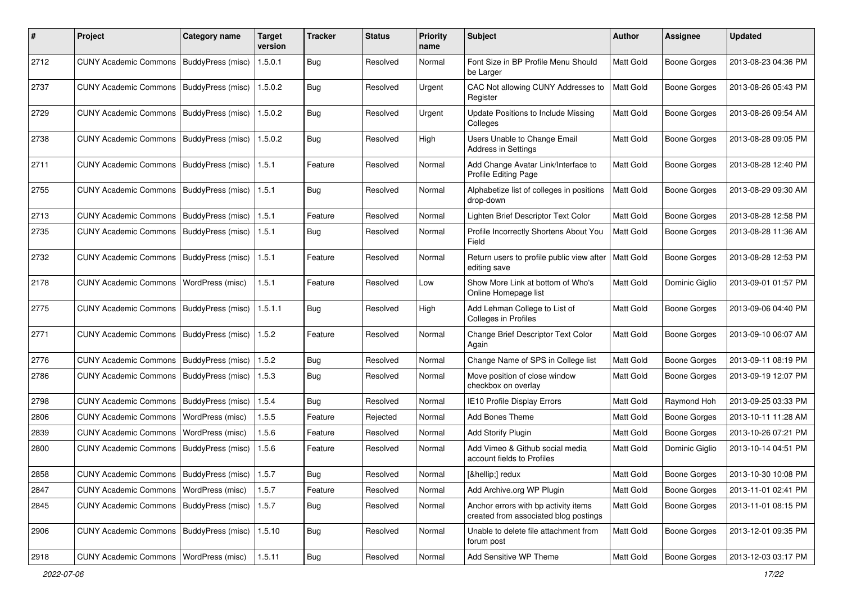| #    | Project                                           | <b>Category name</b>     | <b>Target</b><br>version | <b>Tracker</b> | <b>Status</b> | <b>Priority</b><br>name | Subject                                                                       | <b>Author</b> | <b>Assignee</b>     | <b>Updated</b>      |
|------|---------------------------------------------------|--------------------------|--------------------------|----------------|---------------|-------------------------|-------------------------------------------------------------------------------|---------------|---------------------|---------------------|
| 2712 | <b>CUNY Academic Commons</b>                      | BuddyPress (misc)        | 1.5.0.1                  | Bug            | Resolved      | Normal                  | Font Size in BP Profile Menu Should<br>be Larger                              | Matt Gold     | <b>Boone Gorges</b> | 2013-08-23 04:36 PM |
| 2737 | <b>CUNY Academic Commons</b>                      | <b>BuddyPress (misc)</b> | 1.5.0.2                  | <b>Bug</b>     | Resolved      | Urgent                  | CAC Not allowing CUNY Addresses to<br>Register                                | Matt Gold     | <b>Boone Gorges</b> | 2013-08-26 05:43 PM |
| 2729 | <b>CUNY Academic Commons</b>                      | BuddyPress (misc)        | 1.5.0.2                  | <b>Bug</b>     | Resolved      | Urgent                  | Update Positions to Include Missing<br>Colleges                               | Matt Gold     | <b>Boone Gorges</b> | 2013-08-26 09:54 AM |
| 2738 | <b>CUNY Academic Commons</b>                      | BuddyPress (misc)        | 1.5.0.2                  | <b>Bug</b>     | Resolved      | High                    | Users Unable to Change Email<br>Address in Settings                           | Matt Gold     | <b>Boone Gorges</b> | 2013-08-28 09:05 PM |
| 2711 | <b>CUNY Academic Commons</b>                      | BuddyPress (misc)        | 1.5.1                    | Feature        | Resolved      | Normal                  | Add Change Avatar Link/Interface to<br>Profile Editing Page                   | Matt Gold     | <b>Boone Gorges</b> | 2013-08-28 12:40 PM |
| 2755 | <b>CUNY Academic Commons</b>                      | <b>BuddyPress (misc)</b> | 1.5.1                    | Bug            | Resolved      | Normal                  | Alphabetize list of colleges in positions<br>drop-down                        | Matt Gold     | <b>Boone Gorges</b> | 2013-08-29 09:30 AM |
| 2713 | <b>CUNY Academic Commons</b>                      | BuddyPress (misc)        | 1.5.1                    | Feature        | Resolved      | Normal                  | Lighten Brief Descriptor Text Color                                           | Matt Gold     | <b>Boone Gorges</b> | 2013-08-28 12:58 PM |
| 2735 | <b>CUNY Academic Commons</b>                      | BuddyPress (misc)        | 1.5.1                    | Bug            | Resolved      | Normal                  | Profile Incorrectly Shortens About You<br>Field                               | Matt Gold     | <b>Boone Gorges</b> | 2013-08-28 11:36 AM |
| 2732 | <b>CUNY Academic Commons</b>                      | BuddyPress (misc)        | 1.5.1                    | Feature        | Resolved      | Normal                  | Return users to profile public view after<br>editing save                     | Matt Gold     | <b>Boone Gorges</b> | 2013-08-28 12:53 PM |
| 2178 | <b>CUNY Academic Commons</b>                      | WordPress (misc)         | 1.5.1                    | Feature        | Resolved      | Low                     | Show More Link at bottom of Who's<br>Online Homepage list                     | Matt Gold     | Dominic Giglio      | 2013-09-01 01:57 PM |
| 2775 | <b>CUNY Academic Commons</b>                      | BuddyPress (misc)        | 1.5.1.1                  | <b>Bug</b>     | Resolved      | High                    | Add Lehman College to List of<br><b>Colleges in Profiles</b>                  | Matt Gold     | <b>Boone Gorges</b> | 2013-09-06 04:40 PM |
| 2771 | <b>CUNY Academic Commons</b>                      | <b>BuddyPress (misc)</b> | 1.5.2                    | Feature        | Resolved      | Normal                  | Change Brief Descriptor Text Color<br>Again                                   | Matt Gold     | <b>Boone Gorges</b> | 2013-09-10 06:07 AM |
| 2776 | <b>CUNY Academic Commons</b>                      | BuddyPress (misc)        | 1.5.2                    | Bug            | Resolved      | Normal                  | Change Name of SPS in College list                                            | Matt Gold     | <b>Boone Gorges</b> | 2013-09-11 08:19 PM |
| 2786 | <b>CUNY Academic Commons</b>                      | BuddyPress (misc)        | 1.5.3                    | Bug            | Resolved      | Normal                  | Move position of close window<br>checkbox on overlay                          | Matt Gold     | <b>Boone Gorges</b> | 2013-09-19 12:07 PM |
| 2798 | <b>CUNY Academic Commons</b>                      | BuddyPress (misc)        | 1.5.4                    | Bug            | Resolved      | Normal                  | IE10 Profile Display Errors                                                   | Matt Gold     | Raymond Hoh         | 2013-09-25 03:33 PM |
| 2806 | <b>CUNY Academic Commons</b>                      | <b>WordPress (misc)</b>  | 1.5.5                    | Feature        | Rejected      | Normal                  | Add Bones Theme                                                               | Matt Gold     | <b>Boone Gorges</b> | 2013-10-11 11:28 AM |
| 2839 | <b>CUNY Academic Commons</b>                      | WordPress (misc)         | 1.5.6                    | Feature        | Resolved      | Normal                  | <b>Add Storify Plugin</b>                                                     | Matt Gold     | <b>Boone Gorges</b> | 2013-10-26 07:21 PM |
| 2800 | <b>CUNY Academic Commons</b>                      | BuddyPress (misc)        | 1.5.6                    | Feature        | Resolved      | Normal                  | Add Vimeo & Github social media<br>account fields to Profiles                 | Matt Gold     | Dominic Giglio      | 2013-10-14 04:51 PM |
| 2858 | CUNY Academic Commons   BuddyPress (misc)   1.5.7 |                          |                          | Bug            | Resolved      | Normal                  | […] redux                                                                     | Matt Gold     | Boone Gorges        | 2013-10-30 10:08 PM |
| 2847 | CUNY Academic Commons   WordPress (misc)          |                          | 1.5.7                    | Feature        | Resolved      | Normal                  | Add Archive.org WP Plugin                                                     | Matt Gold     | <b>Boone Gorges</b> | 2013-11-01 02:41 PM |
| 2845 | <b>CUNY Academic Commons</b>                      | BuddyPress (misc)        | 1.5.7                    | <b>Bug</b>     | Resolved      | Normal                  | Anchor errors with bp activity items<br>created from associated blog postings | Matt Gold     | Boone Gorges        | 2013-11-01 08:15 PM |
| 2906 | CUNY Academic Commons   BuddyPress (misc)         |                          | 1.5.10                   | <b>Bug</b>     | Resolved      | Normal                  | Unable to delete file attachment from<br>forum post                           | Matt Gold     | Boone Gorges        | 2013-12-01 09:35 PM |
| 2918 | CUNY Academic Commons   WordPress (misc)          |                          | 1.5.11                   | Bug            | Resolved      | Normal                  | Add Sensitive WP Theme                                                        | Matt Gold     | Boone Gorges        | 2013-12-03 03:17 PM |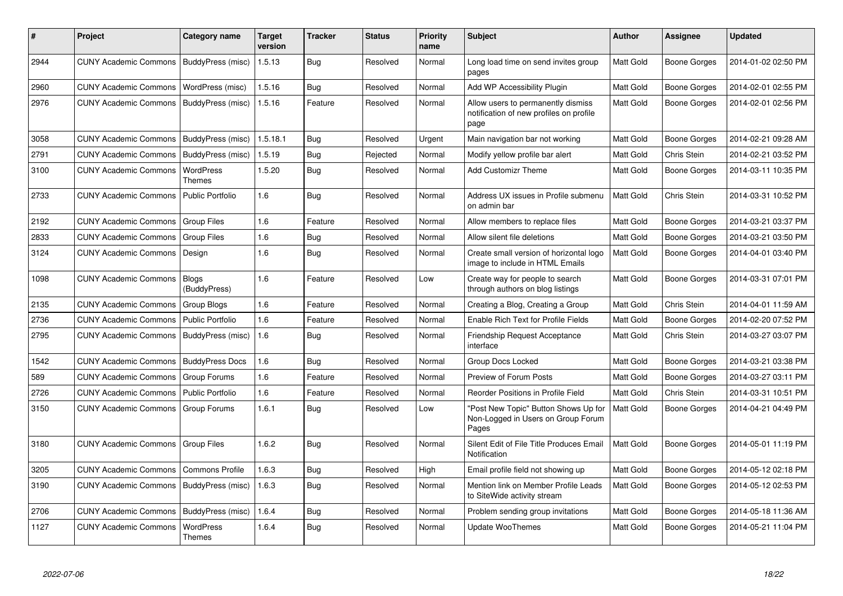| #    | Project                      | Category name              | <b>Target</b><br>version | <b>Tracker</b> | <b>Status</b> | <b>Priority</b><br>name | <b>Subject</b>                                                                        | <b>Author</b>    | Assignee            | <b>Updated</b>      |
|------|------------------------------|----------------------------|--------------------------|----------------|---------------|-------------------------|---------------------------------------------------------------------------------------|------------------|---------------------|---------------------|
| 2944 | CUNY Academic Commons        | BuddyPress (misc)          | 1.5.13                   | Bug            | Resolved      | Normal                  | Long load time on send invites group<br>pages                                         | Matt Gold        | <b>Boone Gorges</b> | 2014-01-02 02:50 PM |
| 2960 | <b>CUNY Academic Commons</b> | WordPress (misc)           | 1.5.16                   | Bug            | Resolved      | Normal                  | Add WP Accessibility Plugin                                                           | Matt Gold        | <b>Boone Gorges</b> | 2014-02-01 02:55 PM |
| 2976 | <b>CUNY Academic Commons</b> | BuddyPress (misc)          | 1.5.16                   | Feature        | Resolved      | Normal                  | Allow users to permanently dismiss<br>notification of new profiles on profile<br>page | Matt Gold        | <b>Boone Gorges</b> | 2014-02-01 02:56 PM |
| 3058 | <b>CUNY Academic Commons</b> | BuddyPress (misc)          | 1.5.18.1                 | Bug            | Resolved      | Urgent                  | Main navigation bar not working                                                       | Matt Gold        | Boone Gorges        | 2014-02-21 09:28 AM |
| 2791 | <b>CUNY Academic Commons</b> | BuddyPress (misc)          | 1.5.19                   | Bug            | Rejected      | Normal                  | Modify yellow profile bar alert                                                       | Matt Gold        | Chris Stein         | 2014-02-21 03:52 PM |
| 3100 | <b>CUNY Academic Commons</b> | WordPress<br>Themes        | 1.5.20                   | Bug            | Resolved      | Normal                  | <b>Add Customizr Theme</b>                                                            | <b>Matt Gold</b> | <b>Boone Gorges</b> | 2014-03-11 10:35 PM |
| 2733 | <b>CUNY Academic Commons</b> | Public Portfolio           | 1.6                      | <b>Bug</b>     | Resolved      | Normal                  | Address UX issues in Profile submenu<br>on admin bar                                  | Matt Gold        | Chris Stein         | 2014-03-31 10:52 PM |
| 2192 | <b>CUNY Academic Commons</b> | <b>Group Files</b>         | 1.6                      | Feature        | Resolved      | Normal                  | Allow members to replace files                                                        | Matt Gold        | Boone Gorges        | 2014-03-21 03:37 PM |
| 2833 | <b>CUNY Academic Commons</b> | <b>Group Files</b>         | 1.6                      | <b>Bug</b>     | Resolved      | Normal                  | Allow silent file deletions                                                           | Matt Gold        | <b>Boone Gorges</b> | 2014-03-21 03:50 PM |
| 3124 | <b>CUNY Academic Commons</b> | Design                     | 1.6                      | <b>Bug</b>     | Resolved      | Normal                  | Create small version of horizontal logo<br>image to include in HTML Emails            | <b>Matt Gold</b> | Boone Gorges        | 2014-04-01 03:40 PM |
| 1098 | <b>CUNY Academic Commons</b> | Blogs<br>(BuddyPress)      | 1.6                      | Feature        | Resolved      | Low                     | Create way for people to search<br>through authors on blog listings                   | Matt Gold        | Boone Gorges        | 2014-03-31 07:01 PM |
| 2135 | <b>CUNY Academic Commons</b> | Group Blogs                | 1.6                      | Feature        | Resolved      | Normal                  | Creating a Blog, Creating a Group                                                     | Matt Gold        | Chris Stein         | 2014-04-01 11:59 AM |
| 2736 | <b>CUNY Academic Commons</b> | <b>Public Portfolio</b>    | 1.6                      | Feature        | Resolved      | Normal                  | <b>Enable Rich Text for Profile Fields</b>                                            | Matt Gold        | Boone Gorges        | 2014-02-20 07:52 PM |
| 2795 | <b>CUNY Academic Commons</b> | BuddyPress (misc)          | 1.6                      | <b>Bug</b>     | Resolved      | Normal                  | <b>Friendship Request Acceptance</b><br>interface                                     | <b>Matt Gold</b> | Chris Stein         | 2014-03-27 03:07 PM |
| 1542 | <b>CUNY Academic Commons</b> | <b>BuddyPress Docs</b>     | 1.6                      | <b>Bug</b>     | Resolved      | Normal                  | Group Docs Locked                                                                     | <b>Matt Gold</b> | <b>Boone Gorges</b> | 2014-03-21 03:38 PM |
| 589  | <b>CUNY Academic Commons</b> | Group Forums               | 1.6                      | Feature        | Resolved      | Normal                  | Preview of Forum Posts                                                                | Matt Gold        | Boone Gorges        | 2014-03-27 03:11 PM |
| 2726 | <b>CUNY Academic Commons</b> | <b>Public Portfolio</b>    | 1.6                      | Feature        | Resolved      | Normal                  | Reorder Positions in Profile Field                                                    | <b>Matt Gold</b> | Chris Stein         | 2014-03-31 10:51 PM |
| 3150 | <b>CUNY Academic Commons</b> | Group Forums               | 1.6.1                    | <b>Bug</b>     | Resolved      | Low                     | 'Post New Topic" Button Shows Up for<br>Non-Logged in Users on Group Forum<br>Pages   | Matt Gold        | <b>Boone Gorges</b> | 2014-04-21 04:49 PM |
| 3180 | <b>CUNY Academic Commons</b> | <b>Group Files</b>         | 1.6.2                    | Bug            | Resolved      | Normal                  | Silent Edit of File Title Produces Email<br>Notification                              | Matt Gold        | Boone Gorges        | 2014-05-01 11:19 PM |
| 3205 | <b>CUNY Academic Commons</b> | <b>Commons Profile</b>     | 1.6.3                    | Bug            | Resolved      | High                    | Email profile field not showing up                                                    | Matt Gold        | Boone Gorges        | 2014-05-12 02:18 PM |
| 3190 | <b>CUNY Academic Commons</b> | BuddyPress (misc)          | 1.6.3                    | Bug            | Resolved      | Normal                  | Mention link on Member Profile Leads<br>to SiteWide activity stream                   | Matt Gold        | <b>Boone Gorges</b> | 2014-05-12 02:53 PM |
| 2706 | <b>CUNY Academic Commons</b> | BuddyPress (misc)          | 1.6.4                    | Bug            | Resolved      | Normal                  | Problem sending group invitations                                                     | Matt Gold        | <b>Boone Gorges</b> | 2014-05-18 11:36 AM |
| 1127 | <b>CUNY Academic Commons</b> | <b>WordPress</b><br>Themes | 1.6.4                    | <b>Bug</b>     | Resolved      | Normal                  | Update WooThemes                                                                      | Matt Gold        | Boone Gorges        | 2014-05-21 11:04 PM |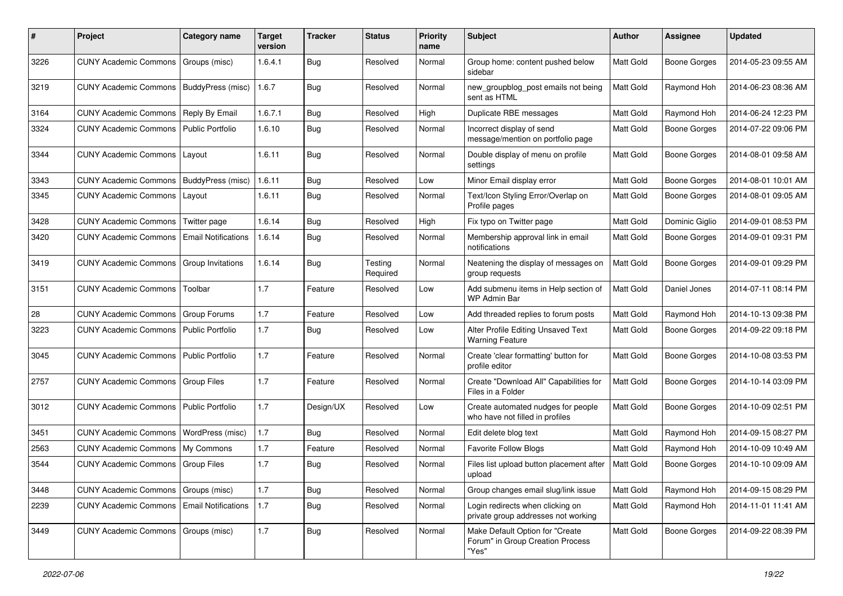| #    | Project                               | <b>Category name</b>       | <b>Target</b><br>version | <b>Tracker</b> | <b>Status</b>       | <b>Priority</b><br>name | <b>Subject</b>                                                               | <b>Author</b> | <b>Assignee</b>     | <b>Updated</b>      |
|------|---------------------------------------|----------------------------|--------------------------|----------------|---------------------|-------------------------|------------------------------------------------------------------------------|---------------|---------------------|---------------------|
| 3226 | <b>CUNY Academic Commons</b>          | Groups (misc)              | 1.6.4.1                  | <b>Bug</b>     | Resolved            | Normal                  | Group home: content pushed below<br>sidebar                                  | Matt Gold     | <b>Boone Gorges</b> | 2014-05-23 09:55 AM |
| 3219 | <b>CUNY Academic Commons</b>          | BuddyPress (misc)          | 1.6.7                    | Bug            | Resolved            | Normal                  | new_groupblog_post emails not being<br>sent as HTML                          | Matt Gold     | Raymond Hoh         | 2014-06-23 08:36 AM |
| 3164 | <b>CUNY Academic Commons</b>          | Reply By Email             | 1.6.7.1                  | Bug            | Resolved            | High                    | Duplicate RBE messages                                                       | Matt Gold     | Raymond Hoh         | 2014-06-24 12:23 PM |
| 3324 | <b>CUNY Academic Commons</b>          | <b>Public Portfolio</b>    | 1.6.10                   | Bug            | Resolved            | Normal                  | Incorrect display of send<br>message/mention on portfolio page               | Matt Gold     | <b>Boone Gorges</b> | 2014-07-22 09:06 PM |
| 3344 | <b>CUNY Academic Commons</b>          | Layout                     | 1.6.11                   | Bug            | Resolved            | Normal                  | Double display of menu on profile<br>settings                                | Matt Gold     | <b>Boone Gorges</b> | 2014-08-01 09:58 AM |
| 3343 | <b>CUNY Academic Commons</b>          | BuddyPress (misc)          | 1.6.11                   | Bug            | Resolved            | Low                     | Minor Email display error                                                    | Matt Gold     | <b>Boone Gorges</b> | 2014-08-01 10:01 AM |
| 3345 | <b>CUNY Academic Commons</b>          | Layout                     | 1.6.11                   | <b>Bug</b>     | Resolved            | Normal                  | Text/Icon Styling Error/Overlap on<br>Profile pages                          | Matt Gold     | <b>Boone Gorges</b> | 2014-08-01 09:05 AM |
| 3428 | <b>CUNY Academic Commons</b>          | Twitter page               | 1.6.14                   | Bug            | Resolved            | High                    | Fix typo on Twitter page                                                     | Matt Gold     | Dominic Giglio      | 2014-09-01 08:53 PM |
| 3420 | <b>CUNY Academic Commons</b>          | <b>Email Notifications</b> | 1.6.14                   | Bug            | Resolved            | Normal                  | Membership approval link in email<br>notifications                           | Matt Gold     | <b>Boone Gorges</b> | 2014-09-01 09:31 PM |
| 3419 | <b>CUNY Academic Commons</b>          | Group Invitations          | 1.6.14                   | Bug            | Testing<br>Required | Normal                  | Neatening the display of messages on<br>group requests                       | Matt Gold     | Boone Gorges        | 2014-09-01 09:29 PM |
| 3151 | <b>CUNY Academic Commons</b>          | Toolbar                    | 1.7                      | Feature        | Resolved            | Low                     | Add submenu items in Help section of<br><b>WP Admin Bar</b>                  | Matt Gold     | Daniel Jones        | 2014-07-11 08:14 PM |
| 28   | <b>CUNY Academic Commons</b>          | <b>Group Forums</b>        | 1.7                      | Feature        | Resolved            | Low                     | Add threaded replies to forum posts                                          | Matt Gold     | Raymond Hoh         | 2014-10-13 09:38 PM |
| 3223 | <b>CUNY Academic Commons</b>          | <b>Public Portfolio</b>    | 1.7                      | Bug            | Resolved            | Low                     | Alter Profile Editing Unsaved Text<br><b>Warning Feature</b>                 | Matt Gold     | <b>Boone Gorges</b> | 2014-09-22 09:18 PM |
| 3045 | <b>CUNY Academic Commons</b>          | Public Portfolio           | 1.7                      | Feature        | Resolved            | Normal                  | Create 'clear formatting' button for<br>profile editor                       | Matt Gold     | <b>Boone Gorges</b> | 2014-10-08 03:53 PM |
| 2757 | <b>CUNY Academic Commons</b>          | Group Files                | 1.7                      | Feature        | Resolved            | Normal                  | Create "Download All" Capabilities for<br>Files in a Folder                  | Matt Gold     | <b>Boone Gorges</b> | 2014-10-14 03:09 PM |
| 3012 | <b>CUNY Academic Commons</b>          | <b>Public Portfolio</b>    | 1.7                      | Design/UX      | Resolved            | Low                     | Create automated nudges for people<br>who have not filled in profiles        | Matt Gold     | Boone Gorges        | 2014-10-09 02:51 PM |
| 3451 | <b>CUNY Academic Commons</b>          | WordPress (misc)           | 1.7                      | Bug            | Resolved            | Normal                  | Edit delete blog text                                                        | Matt Gold     | Raymond Hoh         | 2014-09-15 08:27 PM |
| 2563 | <b>CUNY Academic Commons</b>          | My Commons                 | 1.7                      | Feature        | Resolved            | Normal                  | <b>Favorite Follow Blogs</b>                                                 | Matt Gold     | Raymond Hoh         | 2014-10-09 10:49 AM |
| 3544 | CUNY Academic Commons                 | Group Files                | 1.7                      | Bug            | Resolved            | Normal                  | Files list upload button placement after<br>upload                           | Matt Gold     | <b>Boone Gorges</b> | 2014-10-10 09:09 AM |
| 3448 | <b>CUNY Academic Commons</b>          | Groups (misc)              | 1.7                      | <b>Bug</b>     | Resolved            | Normal                  | Group changes email slug/link issue                                          | Matt Gold     | Raymond Hoh         | 2014-09-15 08:29 PM |
| 2239 | <b>CUNY Academic Commons</b>          | <b>Email Notifications</b> | 1.7                      | <b>Bug</b>     | Resolved            | Normal                  | Login redirects when clicking on<br>private group addresses not working      | Matt Gold     | Raymond Hoh         | 2014-11-01 11:41 AM |
| 3449 | CUNY Academic Commons   Groups (misc) |                            | 1.7                      | <b>Bug</b>     | Resolved            | Normal                  | Make Default Option for "Create<br>Forum" in Group Creation Process<br>"Yes" | Matt Gold     | Boone Gorges        | 2014-09-22 08:39 PM |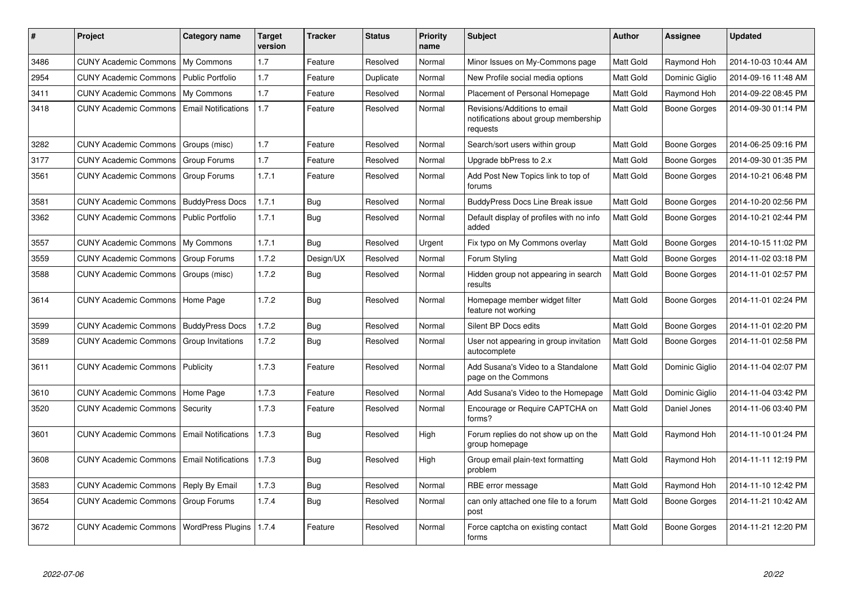| $\pmb{\sharp}$ | <b>Project</b>               | Category name              | <b>Target</b><br>version | <b>Tracker</b> | <b>Status</b> | <b>Priority</b><br>name | <b>Subject</b>                                                                   | <b>Author</b>    | Assignee            | <b>Updated</b>      |
|----------------|------------------------------|----------------------------|--------------------------|----------------|---------------|-------------------------|----------------------------------------------------------------------------------|------------------|---------------------|---------------------|
| 3486           | <b>CUNY Academic Commons</b> | My Commons                 | 1.7                      | Feature        | Resolved      | Normal                  | Minor Issues on My-Commons page                                                  | Matt Gold        | Raymond Hoh         | 2014-10-03 10:44 AM |
| 2954           | <b>CUNY Academic Commons</b> | <b>Public Portfolio</b>    | 1.7                      | Feature        | Duplicate     | Normal                  | New Profile social media options                                                 | Matt Gold        | Dominic Giglio      | 2014-09-16 11:48 AM |
| 3411           | <b>CUNY Academic Commons</b> | My Commons                 | 1.7                      | Feature        | Resolved      | Normal                  | Placement of Personal Homepage                                                   | Matt Gold        | Raymond Hoh         | 2014-09-22 08:45 PM |
| 3418           | <b>CUNY Academic Commons</b> | <b>Email Notifications</b> | 1.7                      | Feature        | Resolved      | Normal                  | Revisions/Additions to email<br>notifications about group membership<br>requests | Matt Gold        | Boone Gorges        | 2014-09-30 01:14 PM |
| 3282           | <b>CUNY Academic Commons</b> | Groups (misc)              | 1.7                      | Feature        | Resolved      | Normal                  | Search/sort users within group                                                   | Matt Gold        | <b>Boone Gorges</b> | 2014-06-25 09:16 PM |
| 3177           | <b>CUNY Academic Commons</b> | Group Forums               | 1.7                      | Feature        | Resolved      | Normal                  | Upgrade bbPress to 2.x                                                           | <b>Matt Gold</b> | Boone Gorges        | 2014-09-30 01:35 PM |
| 3561           | <b>CUNY Academic Commons</b> | Group Forums               | 1.7.1                    | Feature        | Resolved      | Normal                  | Add Post New Topics link to top of<br>forums                                     | Matt Gold        | Boone Gorges        | 2014-10-21 06:48 PM |
| 3581           | <b>CUNY Academic Commons</b> | <b>BuddyPress Docs</b>     | 1.7.1                    | Bug            | Resolved      | Normal                  | <b>BuddyPress Docs Line Break issue</b>                                          | Matt Gold        | Boone Gorges        | 2014-10-20 02:56 PM |
| 3362           | <b>CUNY Academic Commons</b> | <b>Public Portfolio</b>    | 1.7.1                    | Bug            | Resolved      | Normal                  | Default display of profiles with no info<br>added                                | Matt Gold        | Boone Gorges        | 2014-10-21 02:44 PM |
| 3557           | <b>CUNY Academic Commons</b> | My Commons                 | 1.7.1                    | Bug            | Resolved      | Urgent                  | Fix typo on My Commons overlay                                                   | Matt Gold        | Boone Gorges        | 2014-10-15 11:02 PM |
| 3559           | <b>CUNY Academic Commons</b> | Group Forums               | 1.7.2                    | Design/UX      | Resolved      | Normal                  | Forum Styling                                                                    | Matt Gold        | Boone Gorges        | 2014-11-02 03:18 PM |
| 3588           | <b>CUNY Academic Commons</b> | Groups (misc)              | 1.7.2                    | Bug            | Resolved      | Normal                  | Hidden group not appearing in search<br>results                                  | <b>Matt Gold</b> | Boone Gorges        | 2014-11-01 02:57 PM |
| 3614           | <b>CUNY Academic Commons</b> | Home Page                  | 1.7.2                    | Bug            | Resolved      | Normal                  | Homepage member widget filter<br>feature not working                             | Matt Gold        | Boone Gorges        | 2014-11-01 02:24 PM |
| 3599           | <b>CUNY Academic Commons</b> | <b>BuddyPress Docs</b>     | 1.7.2                    | Bug            | Resolved      | Normal                  | Silent BP Docs edits                                                             | Matt Gold        | Boone Gorges        | 2014-11-01 02:20 PM |
| 3589           | <b>CUNY Academic Commons</b> | Group Invitations          | 1.7.2                    | Bug            | Resolved      | Normal                  | User not appearing in group invitation<br>autocomplete                           | Matt Gold        | Boone Gorges        | 2014-11-01 02:58 PM |
| 3611           | <b>CUNY Academic Commons</b> | Publicity                  | 1.7.3                    | Feature        | Resolved      | Normal                  | Add Susana's Video to a Standalone<br>page on the Commons                        | Matt Gold        | Dominic Giglio      | 2014-11-04 02:07 PM |
| 3610           | <b>CUNY Academic Commons</b> | Home Page                  | 1.7.3                    | Feature        | Resolved      | Normal                  | Add Susana's Video to the Homepage                                               | Matt Gold        | Dominic Giglio      | 2014-11-04 03:42 PM |
| 3520           | <b>CUNY Academic Commons</b> | Security                   | 1.7.3                    | Feature        | Resolved      | Normal                  | Encourage or Require CAPTCHA on<br>forms?                                        | Matt Gold        | Daniel Jones        | 2014-11-06 03:40 PM |
| 3601           | <b>CUNY Academic Commons</b> | <b>Email Notifications</b> | 1.7.3                    | <b>Bug</b>     | Resolved      | High                    | Forum replies do not show up on the<br>group homepage                            | Matt Gold        | Raymond Hoh         | 2014-11-10 01:24 PM |
| 3608           | <b>CUNY Academic Commons</b> | <b>Email Notifications</b> | 1.7.3                    | <b>Bug</b>     | Resolved      | High                    | Group email plain-text formatting<br>problem                                     | Matt Gold        | Raymond Hoh         | 2014-11-11 12:19 PM |
| 3583           | <b>CUNY Academic Commons</b> | Reply By Email             | 1.7.3                    | <b>Bug</b>     | Resolved      | Normal                  | RBE error message                                                                | Matt Gold        | Raymond Hoh         | 2014-11-10 12:42 PM |
| 3654           | <b>CUNY Academic Commons</b> | Group Forums               | 1.7.4                    | Bug            | Resolved      | Normal                  | can only attached one file to a forum<br>post                                    | Matt Gold        | Boone Gorges        | 2014-11-21 10:42 AM |
| 3672           | <b>CUNY Academic Commons</b> | <b>WordPress Plugins</b>   | 1.7.4                    | Feature        | Resolved      | Normal                  | Force captcha on existing contact<br>forms                                       | Matt Gold        | Boone Gorges        | 2014-11-21 12:20 PM |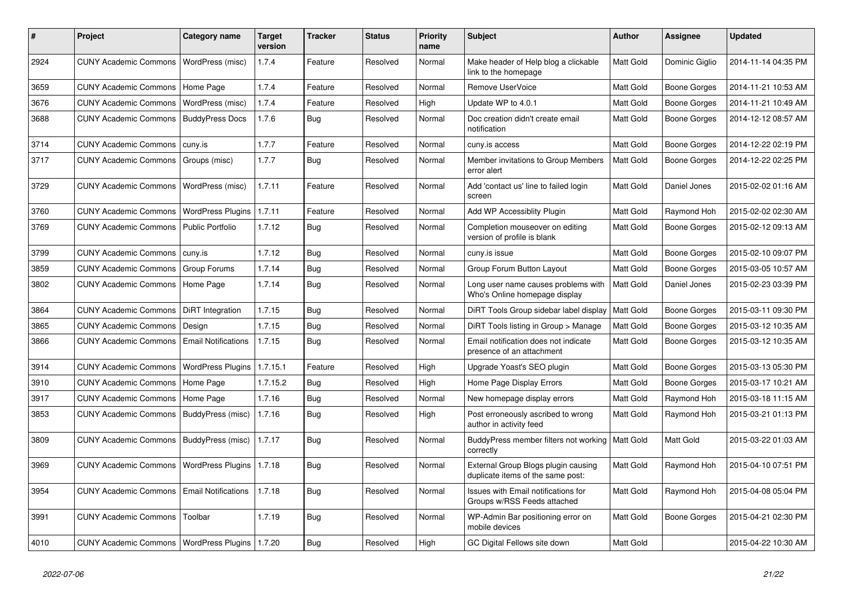| #    | Project                                            | <b>Category name</b>       | <b>Target</b><br>version | <b>Tracker</b> | <b>Status</b> | <b>Priority</b><br>name | <b>Subject</b>                                                            | <b>Author</b>    | Assignee       | <b>Updated</b>      |
|------|----------------------------------------------------|----------------------------|--------------------------|----------------|---------------|-------------------------|---------------------------------------------------------------------------|------------------|----------------|---------------------|
| 2924 | <b>CUNY Academic Commons</b>                       | WordPress (misc)           | 1.7.4                    | Feature        | Resolved      | Normal                  | Make header of Help blog a clickable<br>link to the homepage              | Matt Gold        | Dominic Giglio | 2014-11-14 04:35 PM |
| 3659 | <b>CUNY Academic Commons</b>                       | Home Page                  | 1.7.4                    | Feature        | Resolved      | Normal                  | Remove UserVoice                                                          | Matt Gold        | Boone Gorges   | 2014-11-21 10:53 AM |
| 3676 | <b>CUNY Academic Commons</b>                       | WordPress (misc)           | 1.7.4                    | Feature        | Resolved      | High                    | Update WP to 4.0.1                                                        | Matt Gold        | Boone Gorges   | 2014-11-21 10:49 AM |
| 3688 | <b>CUNY Academic Commons</b>                       | <b>BuddyPress Docs</b>     | 1.7.6                    | Bug            | Resolved      | Normal                  | Doc creation didn't create email<br>notification                          | Matt Gold        | Boone Gorges   | 2014-12-12 08:57 AM |
| 3714 | <b>CUNY Academic Commons</b>                       | cuny.is                    | 1.7.7                    | Feature        | Resolved      | Normal                  | cuny.is access                                                            | Matt Gold        | Boone Gorges   | 2014-12-22 02:19 PM |
| 3717 | <b>CUNY Academic Commons</b>                       | Groups (misc)              | 1.7.7                    | <b>Bug</b>     | Resolved      | Normal                  | Member invitations to Group Members<br>error alert                        | Matt Gold        | Boone Gorges   | 2014-12-22 02:25 PM |
| 3729 | <b>CUNY Academic Commons</b>                       | WordPress (misc)           | 1.7.11                   | Feature        | Resolved      | Normal                  | Add 'contact us' line to failed login<br>screen                           | Matt Gold        | Daniel Jones   | 2015-02-02 01:16 AM |
| 3760 | <b>CUNY Academic Commons</b>                       | <b>WordPress Plugins</b>   | 1.7.11                   | Feature        | Resolved      | Normal                  | Add WP Accessiblity Plugin                                                | <b>Matt Gold</b> | Raymond Hoh    | 2015-02-02 02:30 AM |
| 3769 | <b>CUNY Academic Commons</b>                       | <b>Public Portfolio</b>    | 1.7.12                   | Bug            | Resolved      | Normal                  | Completion mouseover on editing<br>version of profile is blank            | Matt Gold        | Boone Gorges   | 2015-02-12 09:13 AM |
| 3799 | <b>CUNY Academic Commons</b>                       | cuny.is                    | 1.7.12                   | Bug            | Resolved      | Normal                  | cuny.is issue                                                             | <b>Matt Gold</b> | Boone Gorges   | 2015-02-10 09:07 PM |
| 3859 | <b>CUNY Academic Commons</b>                       | Group Forums               | 1.7.14                   | <b>Bug</b>     | Resolved      | Normal                  | Group Forum Button Layout                                                 | Matt Gold        | Boone Gorges   | 2015-03-05 10:57 AM |
| 3802 | <b>CUNY Academic Commons</b>                       | Home Page                  | 1.7.14                   | <b>Bug</b>     | Resolved      | Normal                  | Long user name causes problems with<br>Who's Online homepage display      | <b>Matt Gold</b> | Daniel Jones   | 2015-02-23 03:39 PM |
| 3864 | <b>CUNY Academic Commons</b>                       | DiRT Integration           | 1.7.15                   | <b>Bug</b>     | Resolved      | Normal                  | DiRT Tools Group sidebar label display                                    | Matt Gold        | Boone Gorges   | 2015-03-11 09:30 PM |
| 3865 | <b>CUNY Academic Commons</b>                       | Design                     | 1.7.15                   | <b>Bug</b>     | Resolved      | Normal                  | DiRT Tools listing in Group > Manage                                      | Matt Gold        | Boone Gorges   | 2015-03-12 10:35 AM |
| 3866 | <b>CUNY Academic Commons</b>                       | <b>Email Notifications</b> | 1.7.15                   | Bug            | Resolved      | Normal                  | Email notification does not indicate<br>presence of an attachment         | Matt Gold        | Boone Gorges   | 2015-03-12 10:35 AM |
| 3914 | <b>CUNY Academic Commons</b>                       | <b>WordPress Plugins</b>   | 1.7.15.1                 | Feature        | Resolved      | High                    | Upgrade Yoast's SEO plugin                                                | Matt Gold        | Boone Gorges   | 2015-03-13 05:30 PM |
| 3910 | <b>CUNY Academic Commons</b>                       | Home Page                  | 1.7.15.2                 | Bug            | Resolved      | High                    | Home Page Display Errors                                                  | Matt Gold        | Boone Gorges   | 2015-03-17 10:21 AM |
| 3917 | <b>CUNY Academic Commons</b>                       | Home Page                  | 1.7.16                   | <b>Bug</b>     | Resolved      | Normal                  | New homepage display errors                                               | Matt Gold        | Raymond Hoh    | 2015-03-18 11:15 AM |
| 3853 | <b>CUNY Academic Commons</b>                       | BuddyPress (misc)          | 1.7.16                   | <b>Bug</b>     | Resolved      | High                    | Post erroneously ascribed to wrong<br>author in activity feed             | Matt Gold        | Raymond Hoh    | 2015-03-21 01:13 PM |
| 3809 | CUNY Academic Commons   BuddyPress (misc)          |                            | 1.7.17                   | Bug            | Resolved      | Normal                  | BuddyPress member filters not working<br>correctly                        | Matt Gold        | Matt Gold      | 2015-03-22 01:03 AM |
| 3969 | <b>CUNY Academic Commons</b>                       | <b>WordPress Plugins</b>   | 1.7.18                   | Bug            | Resolved      | Normal                  | External Group Blogs plugin causing<br>duplicate items of the same post:  | Matt Gold        | Raymond Hoh    | 2015-04-10 07:51 PM |
| 3954 | <b>CUNY Academic Commons</b>                       | <b>Email Notifications</b> | 1.7.18                   | Bug            | Resolved      | Normal                  | <b>Issues with Email notifications for</b><br>Groups w/RSS Feeds attached | Matt Gold        | Raymond Hoh    | 2015-04-08 05:04 PM |
| 3991 | <b>CUNY Academic Commons</b>                       | Toolbar                    | 1.7.19                   | Bug            | Resolved      | Normal                  | WP-Admin Bar positioning error on<br>mobile devices                       | Matt Gold        | Boone Gorges   | 2015-04-21 02:30 PM |
| 4010 | CUNY Academic Commons   WordPress Plugins   1.7.20 |                            |                          | Bug            | Resolved      | High                    | GC Digital Fellows site down                                              | Matt Gold        |                | 2015-04-22 10:30 AM |